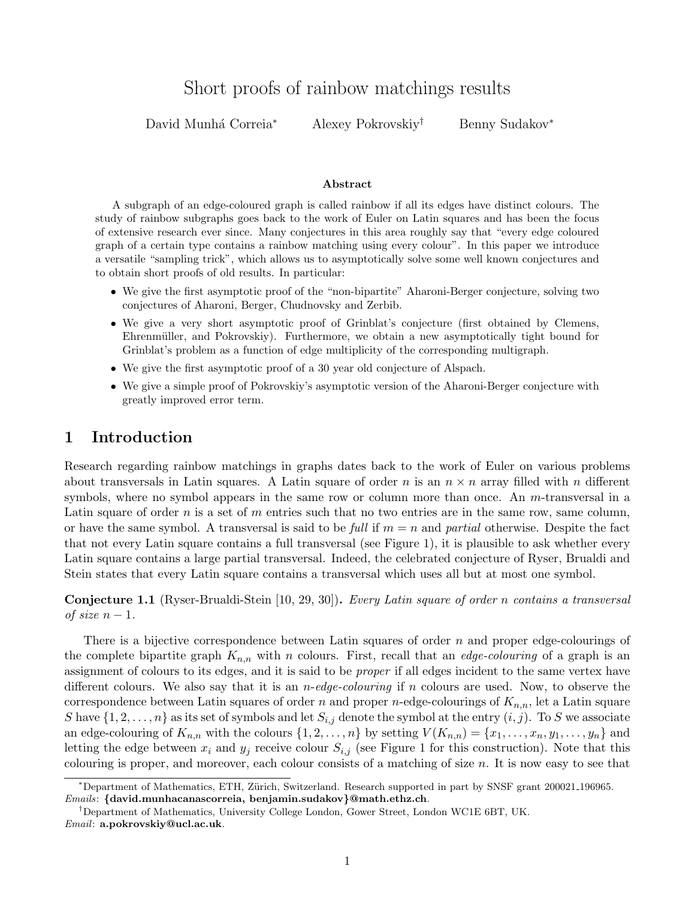# Short proofs of rainbow matchings results

David Munhá Correia<sup>∗</sup> Alexey Pokrovskiy<sup>†</sup> Benny Sudakov<sup>∗</sup>

#### Abstract

A subgraph of an edge-coloured graph is called rainbow if all its edges have distinct colours. The study of rainbow subgraphs goes back to the work of Euler on Latin squares and has been the focus of extensive research ever since. Many conjectures in this area roughly say that "every edge coloured graph of a certain type contains a rainbow matching using every colour". In this paper we introduce a versatile "sampling trick", which allows us to asymptotically solve some well known conjectures and to obtain short proofs of old results. In particular:

- We give the first asymptotic proof of the "non-bipartite" Aharoni-Berger conjecture, solving two conjectures of Aharoni, Berger, Chudnovsky and Zerbib.
- We give a very short asymptotic proof of Grinblat's conjecture (first obtained by Clemens, Ehrenmüller, and Pokrovskiy). Furthermore, we obtain a new asymptotically tight bound for Grinblat's problem as a function of edge multiplicity of the corresponding multigraph.
- We give the first asymptotic proof of a 30 year old conjecture of Alspach.
- We give a simple proof of Pokrovskiy's asymptotic version of the Aharoni-Berger conjecture with greatly improved error term.

# 1 Introduction

Research regarding rainbow matchings in graphs dates back to the work of Euler on various problems about transversals in Latin squares. A Latin square of order n is an  $n \times n$  array filled with n different symbols, where no symbol appears in the same row or column more than once. An m-transversal in a Latin square of order n is a set of m entries such that no two entries are in the same row, same column, or have the same symbol. A transversal is said to be full if  $m = n$  and partial otherwise. Despite the fact that not every Latin square contains a full transversal (see Figure [1\)](#page-1-0), it is plausible to ask whether every Latin square contains a large partial transversal. Indeed, the celebrated conjecture of Ryser, Brualdi and Stein states that every Latin square contains a transversal which uses all but at most one symbol.

<span id="page-0-0"></span>Conjecture 1.1 (Ryser-Brualdi-Stein [\[10,](#page-21-0) [29,](#page-22-0) [30\]](#page-22-1)). Every Latin square of order n contains a transversal of size  $n-1$ .

There is a bijective correspondence between Latin squares of order n and proper edge-colourings of the complete bipartite graph  $K_{n,n}$  with n colours. First, recall that an *edge-colouring* of a graph is an assignment of colours to its edges, and it is said to be proper if all edges incident to the same vertex have different colours. We also say that it is an  $n$ -edge-colouring if n colours are used. Now, to observe the correspondence between Latin squares of order n and proper n-edge-colourings of  $K_{n,n}$ , let a Latin square S have  $\{1, 2, \ldots, n\}$  as its set of symbols and let  $S_{i,j}$  denote the symbol at the entry  $(i, j)$ . To S we associate an edge-colouring of  $K_{n,n}$  with the colours  $\{1, 2, \ldots, n\}$  by setting  $V(K_{n,n}) = \{x_1, \ldots, x_n, y_1, \ldots, y_n\}$  and letting the edge between  $x_i$  and  $y_j$  receive colour  $S_{i,j}$  (see Figure [1](#page-1-0) for this construction). Note that this colouring is proper, and moreover, each colour consists of a matching of size  $n$ . It is now easy to see that

Emails: {david.munhacanascorreia, benjamin.sudakov}@math.ethz.ch.

<sup>∗</sup>Department of Mathematics, ETH, Z¨urich, Switzerland. Research supported in part by SNSF grant 200021 196965.

<sup>†</sup>Department of Mathematics, University College London, Gower Street, London WC1E 6BT, UK. Email: a.pokrovskiy@ucl.ac.uk.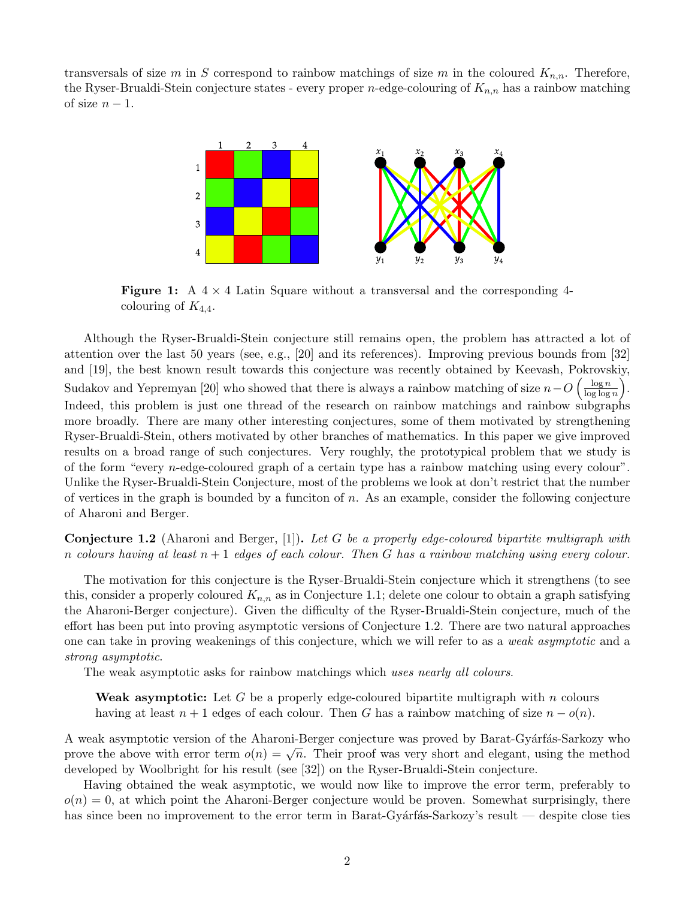<span id="page-1-0"></span>transversals of size m in S correspond to rainbow matchings of size m in the coloured  $K_{n,n}$ . Therefore, the Ryser-Brualdi-Stein conjecture states - every proper *n*-edge-colouring of  $K_{n,n}$  has a rainbow matching of size  $n-1$ .



**Figure 1:** A  $4 \times 4$  Latin Square without a transversal and the corresponding 4colouring of  $K_{4,4}$ .

Although the Ryser-Brualdi-Stein conjecture still remains open, the problem has attracted a lot of attention over the last 50 years (see, e.g., [\[20\]](#page-22-2) and its references). Improving previous bounds from [\[32\]](#page-22-3) and [\[19\]](#page-22-4), the best known result towards this conjecture was recently obtained by Keevash, Pokrovskiy, Sudakov and Yepremyan [\[20\]](#page-22-2) who showed that there is always a rainbow matching of size  $n-O\left(\frac{\log n}{\log \log n}\right)$  $\frac{\log n}{\log \log n}$ . Indeed, this problem is just one thread of the research on rainbow matchings and rainbow subgraphs more broadly. There are many other interesting conjectures, some of them motivated by strengthening Ryser-Brualdi-Stein, others motivated by other branches of mathematics. In this paper we give improved results on a broad range of such conjectures. Very roughly, the prototypical problem that we study is of the form "every n-edge-coloured graph of a certain type has a rainbow matching using every colour". Unlike the Ryser-Brualdi-Stein Conjecture, most of the problems we look at don't restrict that the number of vertices in the graph is bounded by a funciton of  $n$ . As an example, consider the following conjecture of Aharoni and Berger.

<span id="page-1-1"></span>**Conjecture 1.2** (Aharoni and Berger, [\[1\]](#page-21-1)). Let G be a properly edge-coloured bipartite multigraph with n colours having at least  $n + 1$  edges of each colour. Then G has a rainbow matching using every colour.

The motivation for this conjecture is the Ryser-Brualdi-Stein conjecture which it strengthens (to see this, consider a properly coloured  $K_{n,n}$  as in Conjecture [1.1;](#page-0-0) delete one colour to obtain a graph satisfying the Aharoni-Berger conjecture). Given the difficulty of the Ryser-Brualdi-Stein conjecture, much of the effort has been put into proving asymptotic versions of Conjecture [1.2.](#page-1-1) There are two natural approaches one can take in proving weakenings of this conjecture, which we will refer to as a weak asymptotic and a strong asymptotic.

The weak asymptotic asks for rainbow matchings which uses nearly all colours.

**Weak asymptotic:** Let G be a properly edge-coloured bipartite multigraph with n colours having at least  $n + 1$  edges of each colour. Then G has a rainbow matching of size  $n - o(n)$ .

A weak asymptotic version of the Aharoni-Berger conjecture was proved by Barat-Gyárfás-Sarkozy who A weak asymptotic version of the Anarom-Berger conjecture was proved by Barat-Gyarias-Barkozy who<br>prove the above with error term  $o(n) = \sqrt{n}$ . Their proof was very short and elegant, using the method developed by Woolbright for his result (see [\[32\]](#page-22-3)) on the Ryser-Brualdi-Stein conjecture.

Having obtained the weak asymptotic, we would now like to improve the error term, preferably to  $o(n) = 0$ , at which point the Aharoni-Berger conjecture would be proven. Somewhat surprisingly, there has since been no improvement to the error term in Barat-Gyárfás-Sarkozy's result — despite close ties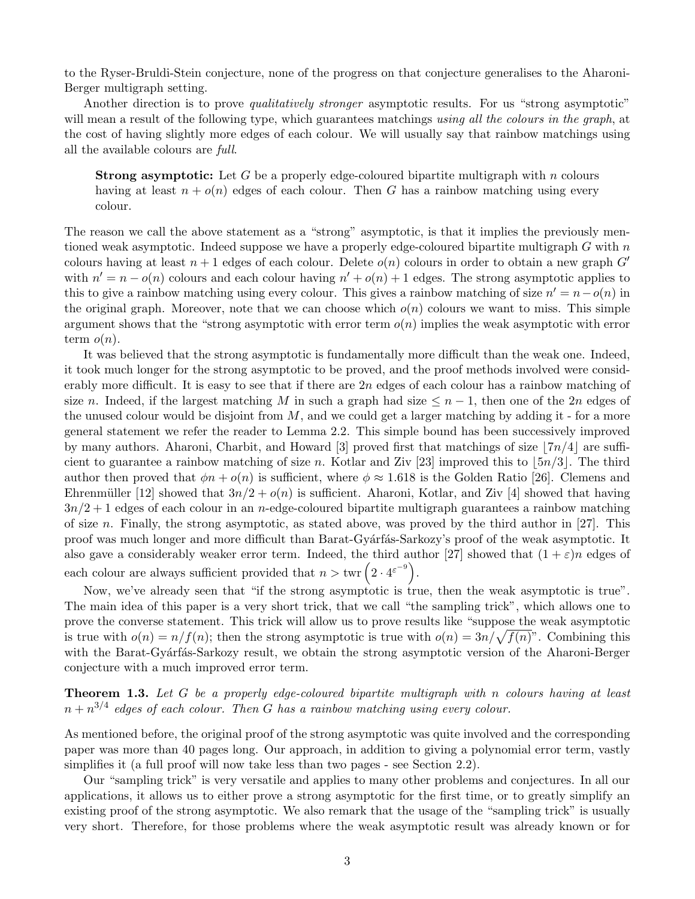to the Ryser-Bruldi-Stein conjecture, none of the progress on that conjecture generalises to the Aharoni-Berger multigraph setting.

Another direction is to prove *qualitatively stronger* asymptotic results. For us "strong asymptotic" will mean a result of the following type, which guarantees matchings using all the colours in the graph, at the cost of having slightly more edges of each colour. We will usually say that rainbow matchings using all the available colours are full.

**Strong asymptotic:** Let G be a properly edge-coloured bipartite multigraph with n colours having at least  $n + o(n)$  edges of each colour. Then G has a rainbow matching using every colour.

The reason we call the above statement as a "strong" asymptotic, is that it implies the previously mentioned weak asymptotic. Indeed suppose we have a properly edge-coloured bipartite multigraph  $G$  with  $n$ colours having at least  $n+1$  edges of each colour. Delete  $o(n)$  colours in order to obtain a new graph  $G'$ with  $n' = n - o(n)$  colours and each colour having  $n' + o(n) + 1$  edges. The strong asymptotic applies to this to give a rainbow matching using every colour. This gives a rainbow matching of size  $n' = n - o(n)$  in the original graph. Moreover, note that we can choose which  $o(n)$  colours we want to miss. This simple argument shows that the "strong asymptotic with error term  $o(n)$  implies the weak asymptotic with error term  $o(n)$ .

It was believed that the strong asymptotic is fundamentally more difficult than the weak one. Indeed, it took much longer for the strong asymptotic to be proved, and the proof methods involved were considerably more difficult. It is easy to see that if there are  $2n$  edges of each colour has a rainbow matching of size n. Indeed, if the largest matching M in such a graph had size  $\leq n-1$ , then one of the 2n edges of the unused colour would be disjoint from  $M$ , and we could get a larger matching by adding it - for a more general statement we refer the reader to Lemma [2.2.](#page-5-0) This simple bound has been successively improved by many authors. Aharoni, Charbit, and Howard [\[3\]](#page-21-2) proved first that matchings of size  $7n/4$  are suffi-cient to guarantee a rainbow matching of size n. Kotlar and Ziv [\[23\]](#page-22-5) improved this to  $\lfloor 5n/3 \rfloor$ . The third author then proved that  $\phi n + o(n)$  is sufficient, where  $\phi \approx 1.618$  is the Golden Ratio [\[26\]](#page-22-6). Clemens and Ehrenmüller [\[12\]](#page-21-3) showed that  $3n/2 + o(n)$  is sufficient. Aharoni, Kotlar, and Ziv [\[4\]](#page-21-4) showed that having  $3n/2+1$  edges of each colour in an *n*-edge-coloured bipartite multigraph guarantees a rainbow matching of size n. Finally, the strong asymptotic, as stated above, was proved by the third author in [\[27\]](#page-22-7). This proof was much longer and more difficult than Barat-Gyárfás-Sarkozy's proof of the weak asymptotic. It also gave a considerably weaker error term. Indeed, the third author [\[27\]](#page-22-7) showed that  $(1 + \varepsilon)n$  edges of each colour are always sufficient provided that  $n > \text{twr} \left( 2 \cdot 4^{e^{-9}} \right)$ .

Now, we've already seen that "if the strong asymptotic is true, then the weak asymptotic is true". The main idea of this paper is a very short trick, that we call "the sampling trick", which allows one to prove the converse statement. This trick will allow us to prove results like "suppose the weak asymptotic is true with  $o(n) = n/f(n)$ ; then the strong asymptotic is true with  $o(n) = 3n/\sqrt{f(n)}$ ". Combining this with the Barat-Gyárfás-Sarkozy result, we obtain the strong asymptotic version of the Aharoni-Berger conjecture with a much improved error term.

### <span id="page-2-0"></span>Theorem 1.3. Let G be a properly edge-coloured bipartite multigraph with n colours having at least  $n + n^{3/4}$  edges of each colour. Then G has a rainbow matching using every colour.

As mentioned before, the original proof of the strong asymptotic was quite involved and the corresponding paper was more than 40 pages long. Our approach, in addition to giving a polynomial error term, vastly simplifies it (a full proof will now take less than two pages - see Section [2.2\)](#page-7-0).

Our "sampling trick" is very versatile and applies to many other problems and conjectures. In all our applications, it allows us to either prove a strong asymptotic for the first time, or to greatly simplify an existing proof of the strong asymptotic. We also remark that the usage of the "sampling trick" is usually very short. Therefore, for those problems where the weak asymptotic result was already known or for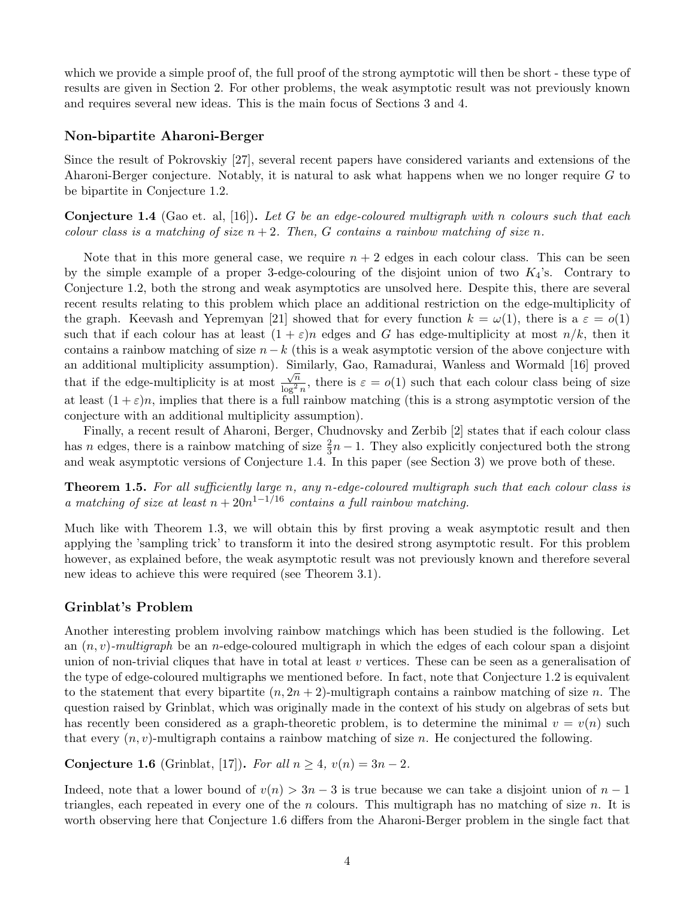which we provide a simple proof of, the full proof of the strong aymptotic will then be short - these type of results are given in Section [2.](#page-5-1) For other problems, the weak asymptotic result was not previously known and requires several new ideas. This is the main focus of Sections [3](#page-9-0) and [4.](#page-11-0)

### Non-bipartite Aharoni-Berger

Since the result of Pokrovskiy [\[27\]](#page-22-7), several recent papers have considered variants and extensions of the Aharoni-Berger conjecture. Notably, it is natural to ask what happens when we no longer require G to be bipartite in Conjecture [1.2.](#page-1-1)

<span id="page-3-0"></span>**Conjecture 1.4** (Gao et. al, [\[16\]](#page-22-8)). Let G be an edge-coloured multigraph with n colours such that each colour class is a matching of size  $n + 2$ . Then, G contains a rainbow matching of size n.

Note that in this more general case, we require  $n + 2$  edges in each colour class. This can be seen by the simple example of a proper 3-edge-colouring of the disjoint union of two  $K_4$ 's. Contrary to Conjecture [1.2,](#page-1-1) both the strong and weak asymptotics are unsolved here. Despite this, there are several recent results relating to this problem which place an additional restriction on the edge-multiplicity of the graph. Keevash and Yepremyan [\[21\]](#page-22-9) showed that for every function  $k = \omega(1)$ , there is a  $\varepsilon = o(1)$ such that if each colour has at least  $(1 + \varepsilon)n$  edges and G has edge-multiplicity at most  $n/k$ , then it contains a rainbow matching of size  $n - k$  (this is a weak asymptotic version of the above conjecture with an additional multiplicity assumption). Similarly, Gao, Ramadurai, Wanless and Wormald [\[16\]](#page-22-8) proved that if the edge-multiplicity is at most  $\frac{1}{\sqrt{n}}$  $\frac{\sqrt{n}}{\log^2 n}$ , there is  $\varepsilon = o(1)$  such that each colour class being of size at least  $(1+\varepsilon)n$ , implies that there is a full rainbow matching (this is a strong asymptotic version of the conjecture with an additional multiplicity assumption).

Finally, a recent result of Aharoni, Berger, Chudnovsky and Zerbib [\[2\]](#page-21-5) states that if each colour class has n edges, there is a rainbow matching of size  $\frac{2}{3}n - 1$ . They also explicitly conjectured both the strong and weak asymptotic versions of Conjecture [1.4.](#page-3-0) In this paper (see Section [3\)](#page-9-0) we prove both of these.

<span id="page-3-2"></span>**Theorem 1.5.** For all sufficiently large n, any n-edge-coloured multigraph such that each colour class is a matching of size at least  $n + 20n^{1-1/16}$  contains a full rainbow matching.

Much like with Theorem [1.3,](#page-2-0) we will obtain this by first proving a weak asymptotic result and then applying the 'sampling trick' to transform it into the desired strong asymptotic result. For this problem however, as explained before, the weak asymptotic result was not previously known and therefore several new ideas to achieve this were required (see Theorem [3.1\)](#page-9-1).

### Grinblat's Problem

Another interesting problem involving rainbow matchings which has been studied is the following. Let an  $(n, v)$ -multigraph be an n-edge-coloured multigraph in which the edges of each colour span a disjoint union of non-trivial cliques that have in total at least v vertices. These can be seen as a generalisation of the type of edge-coloured multigraphs we mentioned before. In fact, note that Conjecture [1.2](#page-1-1) is equivalent to the statement that every bipartite  $(n, 2n + 2)$ -multigraph contains a rainbow matching of size n. The question raised by Grinblat, which was originally made in the context of his study on algebras of sets but has recently been considered as a graph-theoretic problem, is to determine the minimal  $v = v(n)$  such that every  $(n, v)$ -multigraph contains a rainbow matching of size n. He conjectured the following.

<span id="page-3-1"></span>Conjecture 1.6 (Grinblat, [\[17\]](#page-22-10)). For all  $n \geq 4$ ,  $v(n) = 3n - 2$ .

Indeed, note that a lower bound of  $v(n) > 3n - 3$  is true because we can take a disjoint union of  $n - 1$ triangles, each repeated in every one of the *n* colours. This multigraph has no matching of size *n*. It is worth observing here that Conjecture [1.6](#page-3-1) differs from the Aharoni-Berger problem in the single fact that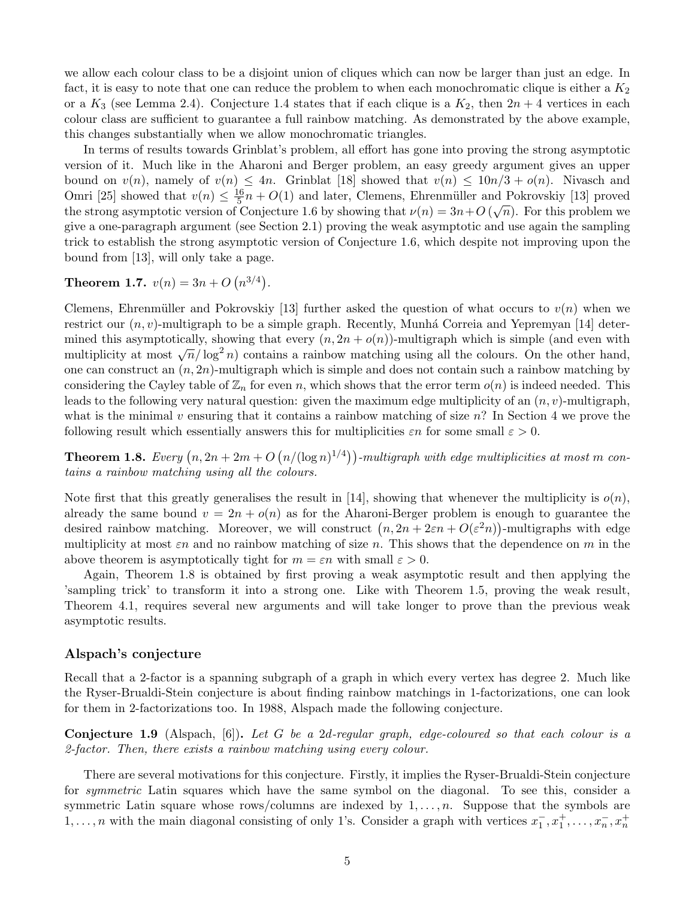we allow each colour class to be a disjoint union of cliques which can now be larger than just an edge. In fact, it is easy to note that one can reduce the problem to when each monochromatic clique is either a  $K_2$ or a  $K_3$  (see Lemma [2.4\)](#page-6-0). Conjecture [1.4](#page-3-0) states that if each clique is a  $K_2$ , then  $2n + 4$  vertices in each colour class are sufficient to guarantee a full rainbow matching. As demonstrated by the above example, this changes substantially when we allow monochromatic triangles.

In terms of results towards Grinblat's problem, all effort has gone into proving the strong asymptotic version of it. Much like in the Aharoni and Berger problem, an easy greedy argument gives an upper bound on  $v(n)$ , namely of  $v(n) \leq 4n$ . Grinblat [\[18\]](#page-22-11) showed that  $v(n) \leq 10n/3 + o(n)$ . Nivasch and Omri [\[25\]](#page-22-12) showed that  $v(n) \leq \frac{16}{5}$  $\frac{16}{5}n + O(1)$  and later, Clemens, Ehrenmüller and Pokrovskiy [\[13\]](#page-22-13) proved the strong asymptotic version of Conjecture [1.6](#page-3-1) by showing that  $\nu(n) = 3n + O(\sqrt{n})$ . For this problem we give a one-paragraph argument (see Section [2.1\)](#page-6-1) proving the weak asymptotic and use again the sampling trick to establish the strong asymptotic version of Conjecture [1.6,](#page-3-1) which despite not improving upon the bound from [\[13\]](#page-22-13), will only take a page.

<span id="page-4-2"></span>**Theorem 1.7.**  $v(n) = 3n + O(n^{3/4})$ .

Clemens, Ehrenmüller and Pokrovskiy [\[13\]](#page-22-13) further asked the question of what occurs to  $v(n)$  when we restrict our  $(n, v)$ -multigraph to be a simple graph. Recently, Munhá Correia and Yepremyan [\[14\]](#page-22-14) determined this asymptotically, showing that every  $(n, 2n + o(n))$ -multigraph which is simple (and even with million as a symptotically, showing that every  $(n, 2n + o(n))$ -multigraph which is simple (and even with multiplicity at most  $\sqrt{n}/\log^2 n$ ) contains a rainbow matching using all the colours. On the other hand, one can construct an  $(n, 2n)$ -multigraph which is simple and does not contain such a rainbow matching by considering the Cayley table of  $\mathbb{Z}_n$  for even n, which shows that the error term  $o(n)$  is indeed needed. This leads to the following very natural question: given the maximum edge multiplicity of an  $(n, v)$ -multigraph, what is the minimal v ensuring that it contains a rainbow matching of size  $n$ ? In Section [4](#page-11-0) we prove the following result which essentially answers this for multiplicities  $\varepsilon n$  for some small  $\varepsilon > 0$ .

<span id="page-4-0"></span>**Theorem 1.8.** Every  $(n, 2n + 2m + O(n/(\log n)^{1/4}))$ -multigraph with edge multiplicities at most m contains a rainbow matching using all the colours.

Note first that this greatly generalises the result in [\[14\]](#page-22-14), showing that whenever the multiplicity is  $o(n)$ , already the same bound  $v = 2n + o(n)$  as for the Aharoni-Berger problem is enough to guarantee the desired rainbow matching. Moreover, we will construct  $(n, 2n + 2\varepsilon n + O(\varepsilon^2 n))$ -multigraphs with edge multiplicity at most  $\varepsilon n$  and no rainbow matching of size n. This shows that the dependence on m in the above theorem is asymptotically tight for  $m = \varepsilon n$  with small  $\varepsilon > 0$ .

Again, Theorem [1.8](#page-4-0) is obtained by first proving a weak asymptotic result and then applying the 'sampling trick' to transform it into a strong one. Like with Theorem [1.5,](#page-3-2) proving the weak result, Theorem [4.1,](#page-11-1) requires several new arguments and will take longer to prove than the previous weak asymptotic results.

### Alspach's conjecture

Recall that a 2-factor is a spanning subgraph of a graph in which every vertex has degree 2. Much like the Ryser-Brualdi-Stein conjecture is about finding rainbow matchings in 1-factorizations, one can look for them in 2-factorizations too. In 1988, Alspach made the following conjecture.

<span id="page-4-1"></span>**Conjecture 1.9** (Alspach,  $[6]$ ). Let G be a 2d-regular graph, edge-coloured so that each colour is a 2-factor. Then, there exists a rainbow matching using every colour.

There are several motivations for this conjecture. Firstly, it implies the Ryser-Brualdi-Stein conjecture for *symmetric* Latin squares which have the same symbol on the diagonal. To see this, consider a symmetric Latin square whose rows/columns are indexed by  $1, \ldots, n$ . Suppose that the symbols are 1, ..., n with the main diagonal consisting of only 1's. Consider a graph with vertices  $x_1^-, x_1^+, \ldots, x_n^-, x_n^+$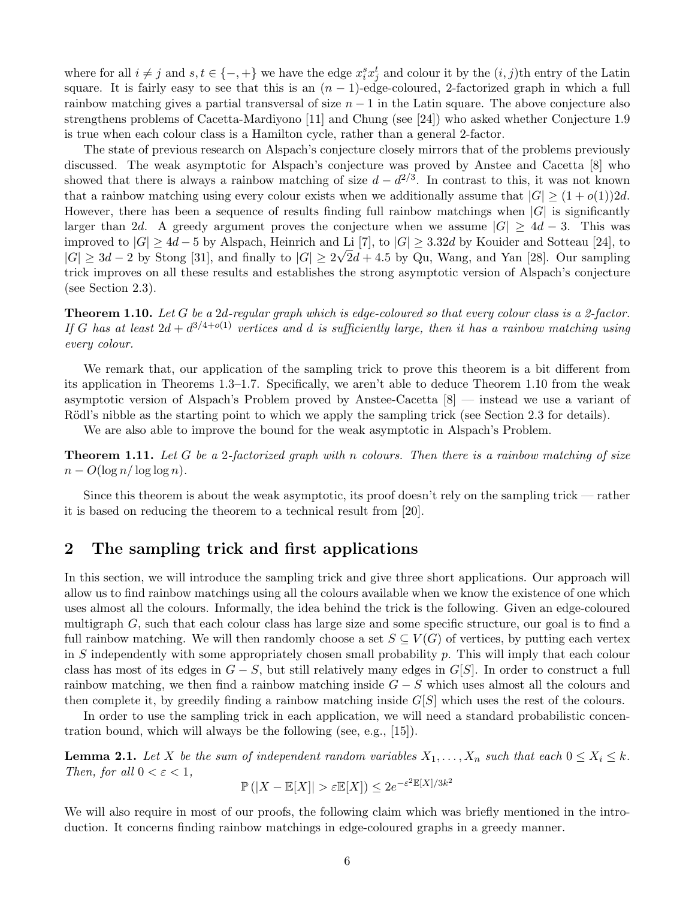where for all  $i \neq j$  and  $s, t \in \{-, +\}$  we have the edge  $x_i^s x_j^t$  and colour it by the  $(i, j)$ th entry of the Latin square. It is fairly easy to see that this is an  $(n - 1)$ -edge-coloured, 2-factorized graph in which a full rainbow matching gives a partial transversal of size  $n-1$  in the Latin square. The above conjecture also strengthens problems of Cacetta-Mardiyono [\[11\]](#page-21-7) and Chung (see [\[24\]](#page-22-15)) who asked whether Conjecture [1.9](#page-4-1) is true when each colour class is a Hamilton cycle, rather than a general 2-factor.

The state of previous research on Alspach's conjecture closely mirrors that of the problems previously discussed. The weak asymptotic for Alspach's conjecture was proved by Anstee and Cacetta [\[8\]](#page-21-8) who showed that there is always a rainbow matching of size  $d - d^{2/3}$ . In contrast to this, it was not known that a rainbow matching using every colour exists when we additionally assume that  $|G| \geq (1+o(1))2d$ . However, there has been a sequence of results finding full rainbow matchings when  $|G|$  is significantly larger than 2d. A greedy argument proves the conjecture when we assume  $|G| > 4d - 3$ . This was improved to  $|G| \geq 4d - 5$  by Alspach, Heinrich and Li [\[7\]](#page-21-9), to  $|G| \geq 3.32d$  by Kouider and Sotteau [\[24\]](#page-22-15), to  $|G| \geq 3d - 2$  by Stong [\[31\]](#page-22-16), and finally to  $|G| \geq 2\sqrt{2d} + 4.5$  by Qu, Wang, and Yan [\[28\]](#page-22-17). Our sampling trick improves on all these results and establishes the strong asymptotic version of Alspach's conjecture (see Section [2.3\)](#page-7-1).

<span id="page-5-2"></span>**Theorem 1.10.** Let G be a 2d-regular graph which is edge-coloured so that every colour class is a 2-factor. If G has at least  $2d + d^{3/4+o(1)}$  vertices and d is sufficiently large, then it has a rainbow matching using every colour.

We remark that, our application of the sampling trick to prove this theorem is a bit different from its application in Theorems [1.3–](#page-2-0)[1.7.](#page-4-2) Specifically, we aren't able to deduce Theorem [1.10](#page-5-2) from the weak asymptotic version of Alspach's Problem proved by Anstee-Cacetta [\[8\]](#page-21-8) — instead we use a variant of Rödl's nibble as the starting point to which we apply the sampling trick (see Section [2.3](#page-7-1) for details).

We are also able to improve the bound for the weak asymptotic in Alspach's Problem.

<span id="page-5-4"></span>**Theorem 1.11.** Let G be a 2-factorized graph with n colours. Then there is a rainbow matching of size  $n - O(\log n / \log \log n)$ .

Since this theorem is about the weak asymptotic, its proof doesn't rely on the sampling trick — rather it is based on reducing the theorem to a technical result from [\[20\]](#page-22-2).

# <span id="page-5-1"></span>2 The sampling trick and first applications

In this section, we will introduce the sampling trick and give three short applications. Our approach will allow us to find rainbow matchings using all the colours available when we know the existence of one which uses almost all the colours. Informally, the idea behind the trick is the following. Given an edge-coloured multigraph G, such that each colour class has large size and some specific structure, our goal is to find a full rainbow matching. We will then randomly choose a set  $S \subseteq V(G)$  of vertices, by putting each vertex in S independently with some appropriately chosen small probability  $p$ . This will imply that each colour class has most of its edges in  $G - S$ , but still relatively many edges in  $G[S]$ . In order to construct a full rainbow matching, we then find a rainbow matching inside  $G - S$  which uses almost all the colours and then complete it, by greedily finding a rainbow matching inside  $G[S]$  which uses the rest of the colours.

In order to use the sampling trick in each application, we will need a standard probabilistic concentration bound, which will always be the following (see, e.g., [\[15\]](#page-22-18)).

<span id="page-5-3"></span>**Lemma 2.1.** Let X be the sum of independent random variables  $X_1, \ldots, X_n$  such that each  $0 \le X_i \le k$ . Then, for all  $0 < \varepsilon < 1$ , 2

$$
\mathbb{P}\left(|X - \mathbb{E}[X]| > \varepsilon \mathbb{E}[X]\right) \le 2e^{-\varepsilon^2 \mathbb{E}[X]/3k^2}
$$

<span id="page-5-0"></span>We will also require in most of our proofs, the following claim which was briefly mentioned in the introduction. It concerns finding rainbow matchings in edge-coloured graphs in a greedy manner.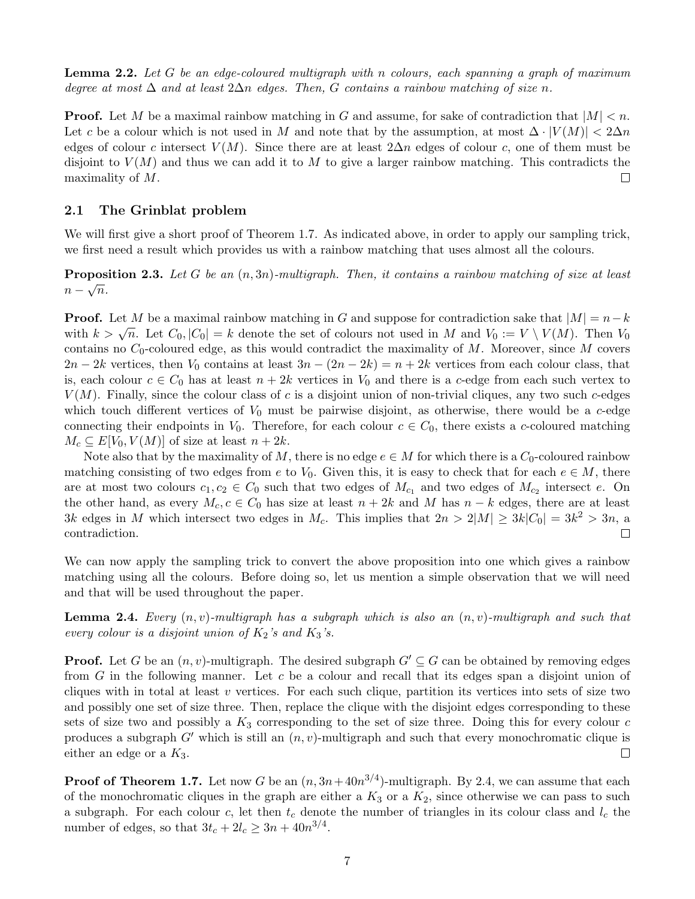**Lemma 2.2.** Let G be an edge-coloured multigraph with n colours, each spanning a graph of maximum degree at most  $\Delta$  and at least  $2\Delta n$  edges. Then, G contains a rainbow matching of size n.

**Proof.** Let M be a maximal rainbow matching in G and assume, for sake of contradiction that  $|M| < n$ . Let c be a colour which is not used in M and note that by the assumption, at most  $\Delta \cdot |V(M)| < 2\Delta n$ edges of colour c intersect  $V(M)$ . Since there are at least  $2\Delta n$  edges of colour c, one of them must be disjoint to  $V(M)$  and thus we can add it to M to give a larger rainbow matching. This contradicts the maximality of M.  $\Box$ 

### <span id="page-6-1"></span>2.1 The Grinblat problem

We will first give a short proof of Theorem [1.7.](#page-4-2) As indicated above, in order to apply our sampling trick, we first need a result which provides us with a rainbow matching that uses almost all the colours.

<span id="page-6-2"></span>**Proposition 2.3.** Let G be an  $(n, 3n)$ -multigraph. Then, it contains a rainbow matching of size at least  $n-\sqrt{n}$ .

**Proof.** Let M be a maximal rainbow matching in G and suppose for contradiction sake that  $|M| = n - k$ **FIGOT.** Let M be a maximal rambow matching in G and suppose for contradiction sake that  $|M| = n - \kappa$  with  $k > \sqrt{n}$ . Let  $C_0$ ,  $|C_0| = k$  denote the set of colours not used in M and  $V_0 := V \setminus V(M)$ . Then  $V_0$ contains no  $C_0$ -coloured edge, as this would contradict the maximality of M. Moreover, since M covers  $2n-2k$  vertices, then  $V_0$  contains at least  $3n-(2n-2k)=n+2k$  vertices from each colour class, that is, each colour  $c \in C_0$  has at least  $n + 2k$  vertices in  $V_0$  and there is a c-edge from each such vertex to  $V(M)$ . Finally, since the colour class of c is a disjoint union of non-trivial cliques, any two such c-edges which touch different vertices of  $V_0$  must be pairwise disjoint, as otherwise, there would be a c-edge connecting their endpoints in  $V_0$ . Therefore, for each colour  $c \in C_0$ , there exists a c-coloured matching  $M_c \subseteq E[V_0, V(M)]$  of size at least  $n + 2k$ .

Note also that by the maximality of M, there is no edge  $e \in M$  for which there is a  $C_0$ -coloured rainbow matching consisting of two edges from e to  $V_0$ . Given this, it is easy to check that for each  $e \in M$ , there are at most two colours  $c_1, c_2 \in C_0$  such that two edges of  $M_{c_1}$  and two edges of  $M_{c_2}$  intersect e. On the other hand, as every  $M_c$ ,  $c \in C_0$  has size at least  $n + 2k$  and M has  $n - k$  edges, there are at least 3k edges in M which intersect two edges in  $M_c$ . This implies that  $2n > 2|M| \geq 3k|C_0| = 3k^2 > 3n$ , a contradiction.  $\Box$ 

We can now apply the sampling trick to convert the above proposition into one which gives a rainbow matching using all the colours. Before doing so, let us mention a simple observation that we will need and that will be used throughout the paper.

<span id="page-6-0"></span>**Lemma 2.4.** Every  $(n, v)$ -multigraph has a subgraph which is also an  $(n, v)$ -multigraph and such that every colour is a disjoint union of  $K_2$ 's and  $K_3$ 's.

**Proof.** Let G be an  $(n, v)$ -multigraph. The desired subgraph  $G' \subseteq G$  can be obtained by removing edges from G in the following manner. Let c be a colour and recall that its edges span a disjoint union of cliques with in total at least v vertices. For each such clique, partition its vertices into sets of size two and possibly one set of size three. Then, replace the clique with the disjoint edges corresponding to these sets of size two and possibly a  $K_3$  corresponding to the set of size three. Doing this for every colour c produces a subgraph  $G'$  which is still an  $(n, v)$ -multigraph and such that every monochromatic clique is either an edge or a  $K_3$ .  $\Box$ 

**Proof of Theorem [1.7.](#page-4-2)** Let now G be an  $(n, 3n + 40n^{3/4})$ -multigraph. By [2.4,](#page-6-0) we can assume that each of the monochromatic cliques in the graph are either a  $K_3$  or a  $K_2$ , since otherwise we can pass to such a subgraph. For each colour c, let then  $t_c$  denote the number of triangles in its colour class and  $l_c$  the number of edges, so that  $3t_c + 2l_c \geq 3n + 40n^{3/4}$ .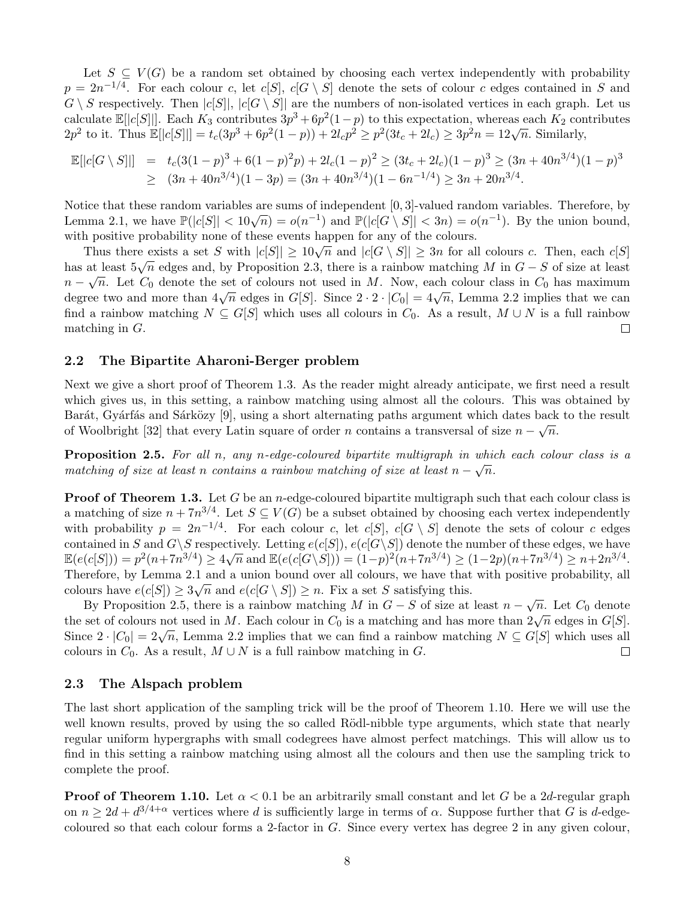Let  $S \subseteq V(G)$  be a random set obtained by choosing each vertex independently with probability  $p = 2n^{-1/4}$ . For each colour c, let  $c[S], c[G \setminus S]$  denote the sets of colour c edges contained in S and  $G \setminus S$  respectively. Then  $|c[S]|, |c[G \setminus S]|$  are the numbers of non-isolated vertices in each graph. Let us calculate  $\mathbb{E}[|c[S]|]$ . Each  $K_3$  contributes  $3p^3 + 6p^2(1-p)$  to this expectation, whereas each  $K_2$  contributes calculate  $\mathbb{E}[|c|S|]]$ . Each  $\Lambda_3$  contributes  $3p' + 6p' (1-p)$  to this expectation, whereas each  $\Lambda_2$  contributes  $3p' + 6p' (1-p) + 2l_c p^2 \ge p^2 (3l_c + 2l_c) \ge 3p^2 n = 12\sqrt{n}$ . Similarly,

$$
\mathbb{E}[|c[G \setminus S]|] = t_c(3(1-p)^3 + 6(1-p)^2p) + 2l_c(1-p)^2 \ge (3t_c + 2l_c)(1-p)^3 \ge (3n + 40n^{3/4})(1-p)^3
$$
  
\n
$$
\ge (3n + 40n^{3/4})(1-3p) = (3n + 40n^{3/4})(1-6n^{-1/4}) \ge 3n + 20n^{3/4}.
$$

Notice that these random variables are sums of independent [0, 3]-valued random variables. Therefore, by Lemma [2.1,](#page-5-3) we have  $\mathbb{P}(|c[S]| < 10\sqrt{n}) = o(n^{-1})$  and  $\mathbb{P}(|c[G \setminus S]| < 3n) = o(n^{-1})$ . By the union bound, with positive probability none of these events happen for any of the colours.

Thus there exists a set S with  $|c[S]| \geq 10\sqrt{n}$  and  $|c[G \setminus S]| \geq 3n$  for all colours c. Then, each  $c[S]$ has at least  $5\sqrt{n}$  edges and, by Proposition [2.3,](#page-6-2) there is a rainbow matching M in  $G - S$  of size at least  $n-\sqrt{n}$ . Let  $C_0$  denote the set of colours not used in M. Now, each colour class in  $C_0$  has maximum  $n = \sqrt{n}$ . Let  $C_0$  denote the set of colours not used in  $M$ . Now, each colour class in  $C_0$  has maximum degree two and more than  $4\sqrt{n}$  edges in  $G[S]$ . Since  $2 \cdot 2 \cdot |C_0| = 4\sqrt{n}$ , Lemma [2.2](#page-5-0) implies that we can find a rainbow matching  $N \subseteq G[S]$  which uses all colours in  $C_0$ . As a result,  $M \cup N$  is a full rainbow matching in G.  $\Box$ 

#### <span id="page-7-0"></span>2.2 The Bipartite Aharoni-Berger problem

Next we give a short proof of Theorem [1.3.](#page-2-0) As the reader might already anticipate, we first need a result which gives us, in this setting, a rainbow matching using almost all the colours. This was obtained by Barát, Gyárfás and Sárközy [\[9\]](#page-21-10), using a short alternating paths argument which dates back to the result of Woolbright [\[32\]](#page-22-3) that every Latin square of order n contains a transversal of size  $n - \sqrt{n}$ .

<span id="page-7-2"></span>**Proposition 2.5.** For all n, any n-edge-coloured bipartite multigraph in which each colour class is a matching of size at least n contains a rainbow matching of size at least  $n - \sqrt{n}$ .

**Proof of Theorem [1.3.](#page-2-0)** Let G be an *n*-edge-coloured bipartite multigraph such that each colour class is a matching of size  $n + 7n^{3/4}$ . Let  $S \subseteq V(G)$  be a subset obtained by choosing each vertex independently with probability  $p = 2n^{-1/4}$ . For each colour c, let c[S], c[G \ S] denote the sets of colour c edges contained in S and  $G\backslash S$  respectively. Letting  $e(c[S]), e(c[G\backslash S])$  denote the number of these edges, we have  $\mathbb{E}(e(c[S])) = p^2(n+7n^{3/4}) \ge 4\sqrt{n}$  and  $\mathbb{E}(e(c[G\setminus S])) = (1-p)^2(n+7n^{3/4}) \ge (1-2p)(n+7n^{3/4}) \ge n+2n^{3/4}$ . Therefore, by Lemma [2.1](#page-5-3) and a union bound over all colours, we have that with positive probability, all colours have  $e(c[S]) \geq 3\sqrt{n}$  and  $e(c[G \setminus S]) \geq n$ . Fix a set S satisfying this.

By Proposition [2.5,](#page-7-2) there is a rainbow matching M in  $G - S$  of size at least  $n - \sqrt{n}$ . Let  $C_0$  denote By 1 roposition 2.5, there is a rambow matching  $M$  in  $G - S$  or size at least  $n - \sqrt{n}$ . Let  $C_0$  denote the set of colours not used in M. Each colour in  $C_0$  is a matching and has more than  $2\sqrt{n}$  edges in  $G[S]$ . Since  $2 \cdot |C_0| = 2\sqrt{n}$ , Lemma [2.2](#page-5-0) implies that we can find a rainbow matching  $N \subseteq G[S]$  which uses all colours in  $C_0$ . As a result,  $M \cup N$  is a full rainbow matching in G.  $\Box$ 

#### <span id="page-7-1"></span>2.3 The Alspach problem

The last short application of the sampling trick will be the proof of Theorem [1.10.](#page-5-2) Here we will use the well known results, proved by using the so called Rödl-nibble type arguments, which state that nearly regular uniform hypergraphs with small codegrees have almost perfect matchings. This will allow us to find in this setting a rainbow matching using almost all the colours and then use the sampling trick to complete the proof.

**Proof of Theorem [1.10.](#page-5-2)** Let  $\alpha < 0.1$  be an arbitrarily small constant and let G be a 2d-regular graph on  $n \geq 2d + d^{3/4+\alpha}$  vertices where d is sufficiently large in terms of  $\alpha$ . Suppose further that G is d-edgecoloured so that each colour forms a 2-factor in  $G$ . Since every vertex has degree 2 in any given colour,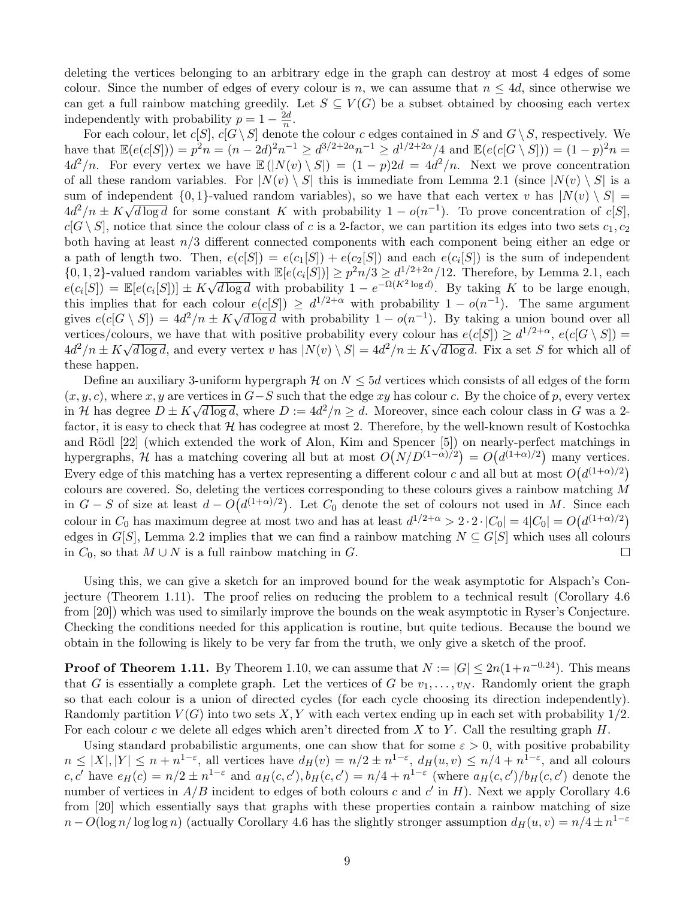deleting the vertices belonging to an arbitrary edge in the graph can destroy at most 4 edges of some colour. Since the number of edges of every colour is n, we can assume that  $n \leq 4d$ , since otherwise we can get a full rainbow matching greedily. Let  $S \subseteq V(G)$  be a subset obtained by choosing each vertex independently with probability  $p = 1 - \frac{2d}{p}$  $\frac{2d}{n}$ .

For each colour, let  $c[S], c[G\setminus S]$  denote the colour c edges contained in S and  $G\setminus S$ , respectively. We have that  $\mathbb{E}(e(c|S|)) = p^2n = (n-2d)^2n^{-1} \ge d^{3/2+2\alpha}n^{-1} \ge d^{1/2+2\alpha}/4$  and  $\mathbb{E}(e(c|G \setminus S|)) = (1-p)^2n =$  $4d^2/n$ . For every vertex we have  $\mathbb{E}(|N(v) \setminus S|) = (1-p)2d = 4d^2/n$ . Next we prove concentration of all these random variables. For  $|N(v) \setminus S|$  this is immediate from Lemma [2.1](#page-5-3) (since  $|N(v) \setminus S|$  is a sum of independent  $\{0,1\}$ -valued random variables), so we have that each vertex v has  $|N(v) \setminus S| =$  $4d^2/n \pm K\sqrt{d \log d}$  for some constant K with probability  $1 - o(n^{-1})$ . To prove concentration of c[S],  $c[G \setminus S]$ , notice that since the colour class of c is a 2-factor, we can partition its edges into two sets  $c_1, c_2$ both having at least  $n/3$  different connected components with each component being either an edge or a path of length two. Then,  $e(c[S]) = e(c_1[S]) + e(c_2[S])$  and each  $e(c_i[S])$  is the sum of independent  $\{0, 1, 2\}$ -valued random variables with  $\mathbb{E}[e(c_i[S])] \geq p^2n/3 \geq d^{1/2+2\alpha}/12$ . Therefore, by Lemma [2.1,](#page-5-3) each  $e(c_i[S]) = \mathbb{E}[e(c_i[S])] \pm K]$ i ⊥i<br>⁄  $\overline{d \log d}$  with probability  $1 - e^{-\Omega(K^2 \log d)}$ . By taking K to be large enough, this implies that for each colour  $e(c[S]) \geq d^{1/2+\alpha}$  with probability  $1 - o(n^{-1})$ . The same argument gives  $e(c[G \setminus S]) = 4d^2/n \pm K\sqrt{d \log d}$  with probability  $1 - o(n^{-1})$ . By taking a union bound over all vertices/colours, we have that with positive probability every colour has  $e(c[S]) \geq d^{1/2+\alpha}, e(c[G \setminus S]) =$  $4d^2/n \pm K\sqrt{d \log d}$ , and every vertex v has  $|N(v) \setminus S| = 4d^2/n \pm K\sqrt{d \log d}$ . Fix a set S for which all of these happen.

Define an auxiliary 3-uniform hypergraph  $\mathcal{H}$  on  $N \leq 5d$  vertices which consists of all edges of the form  $(x, y, c)$ , where  $x, y$  are vertices in  $G-S$  such that the edge  $xy$  has colour c. By the choice of p, every vertex in H has degree  $D \pm K\sqrt{d \log d}$ , where  $D := 4d^2/n \geq d$ . Moreover, since each colour class in G was a 2factor, it is easy to check that  $H$  has codegree at most 2. Therefore, by the well-known result of Kostochka and Rödl [\[22\]](#page-22-19) (which extended the work of Alon, Kim and Spencer [\[5\]](#page-21-11)) on nearly-perfect matchings in hypergraphs, H has a matching covering all but at most  $O(N/D^{(1-\alpha)/2}) = O(d^{(1+\alpha)/2})$  many vertices. Every edge of this matching has a vertex representing a different colour c and all but at most  $O(d^{(1+\alpha)/2})$ colours are covered. So, deleting the vertices corresponding to these colours gives a rainbow matching M in  $G-S$  of size at least  $d - O(d^{(1+\alpha)/2})$ . Let  $C_0$  denote the set of colours not used in M. Since each colour in  $C_0$  has maximum degree at most two and has at least  $d^{1/2+\alpha} > 2 \cdot 2 \cdot |C_0| = 4|C_0| = O(d^{(1+\alpha)/2})$ edges in G[S], Lemma [2.2](#page-5-0) implies that we can find a rainbow matching  $N \subseteq G[S]$  which uses all colours in  $C_0$ , so that  $M \cup N$  is a full rainbow matching in G.  $\Box$ 

Using this, we can give a sketch for an improved bound for the weak asymptotic for Alspach's Conjecture (Theorem [1.11\)](#page-5-4). The proof relies on reducing the problem to a technical result (Corollary 4.6 from [\[20\]](#page-22-2)) which was used to similarly improve the bounds on the weak asymptotic in Ryser's Conjecture. Checking the conditions needed for this application is routine, but quite tedious. Because the bound we obtain in the following is likely to be very far from the truth, we only give a sketch of the proof.

**Proof of Theorem [1.11.](#page-5-4)** By Theorem [1.10,](#page-5-2) we can assume that  $N := |G| \le 2n(1+n^{-0.24})$ . This means that G is essentially a complete graph. Let the vertices of G be  $v_1, \ldots, v_N$ . Randomly orient the graph so that each colour is a union of directed cycles (for each cycle choosing its direction independently). Randomly partition  $V(G)$  into two sets X, Y with each vertex ending up in each set with probability  $1/2$ . For each colour c we delete all edges which aren't directed from X to Y. Call the resulting graph  $H$ .

Using standard probabilistic arguments, one can show that for some  $\varepsilon > 0$ , with positive probability  $n \leq |X|, |Y| \leq n + n^{1-\varepsilon}$ , all vertices have  $d_H(v) = n/2 \pm n^{1-\varepsilon}$ ,  $d_H(u, v) \leq n/4 + n^{1-\varepsilon}$ , and all colours c, c' have  $e_H(c) = n/2 \pm n^{1-\varepsilon}$  and  $a_H(c, c'), b_H(c, c') = n/4 + n^{1-\varepsilon}$  (where  $a_H(c, c')/b_H(c, c')$  denote the number of vertices in  $A/B$  incident to edges of both colours c and c' in H). Next we apply Corollary 4.6 from [\[20\]](#page-22-2) which essentially says that graphs with these properties contain a rainbow matching of size  $n - O(\log n / \log \log n)$  (actually Corollary 4.6 has the slightly stronger assumption  $d_H(u, v) = n/4 \pm n^{1-\varepsilon}$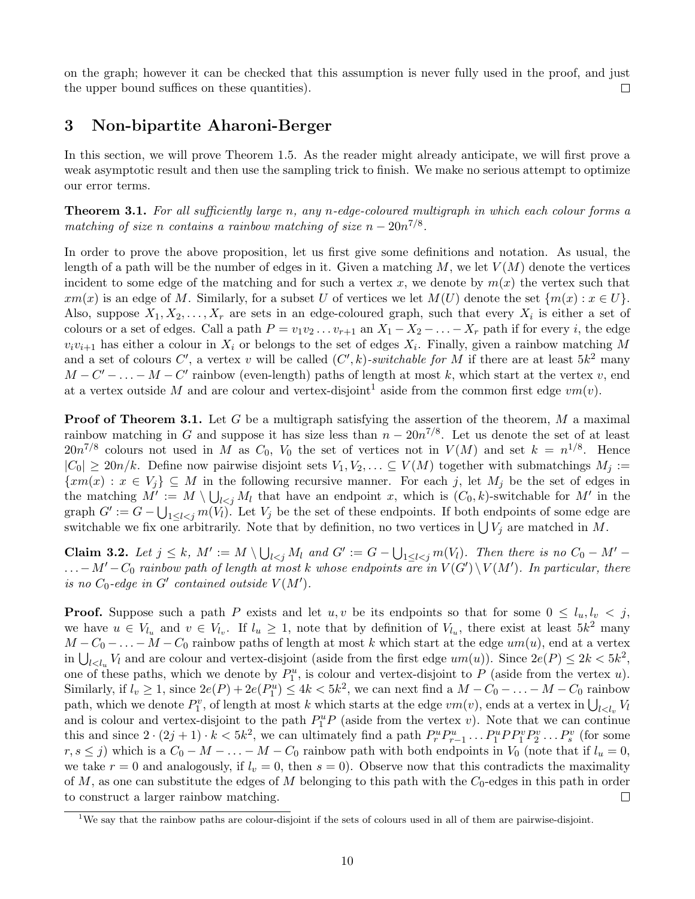on the graph; however it can be checked that this assumption is never fully used in the proof, and just the upper bound suffices on these quantities).  $\Box$ 

# <span id="page-9-0"></span>3 Non-bipartite Aharoni-Berger

In this section, we will prove Theorem [1.5.](#page-3-2) As the reader might already anticipate, we will first prove a weak asymptotic result and then use the sampling trick to finish. We make no serious attempt to optimize our error terms.

<span id="page-9-1"></span>**Theorem 3.1.** For all sufficiently large n, any n-edge-coloured multigraph in which each colour forms a matching of size n contains a rainbow matching of size  $n - 20n^{7/8}$ .

In order to prove the above proposition, let us first give some definitions and notation. As usual, the length of a path will be the number of edges in it. Given a matching  $M$ , we let  $V(M)$  denote the vertices incident to some edge of the matching and for such a vertex x, we denote by  $m(x)$  the vertex such that  $xm(x)$  is an edge of M. Similarly, for a subset U of vertices we let  $M(U)$  denote the set  $\{m(x) : x \in U\}$ . Also, suppose  $X_1, X_2, \ldots, X_r$  are sets in an edge-coloured graph, such that every  $X_i$  is either a set of colours or a set of edges. Call a path  $P = v_1v_2 \ldots v_{r+1}$  an  $X_1 - X_2 - \ldots - X_r$  path if for every i, the edge  $v_i v_{i+1}$  has either a colour in  $X_i$  or belongs to the set of edges  $X_i$ . Finally, given a rainbow matching M and a set of colours C', a vertex v will be called  $(C', k)$ -switchable for M if there are at least  $5k^2$  many  $M - C' - \ldots - M - C'$  rainbow (even-length) paths of length at most k, which start at the vertex v, end at a vertex outside M and are colour and vertex-disjoint<sup>[1](#page-9-2)</sup> aside from the common first edge  $vm(v)$ .

**Proof of Theorem [3.1.](#page-9-1)** Let G be a multigraph satisfying the assertion of the theorem, M a maximal rainbow matching in G and suppose it has size less than  $n - 20n^{7/8}$ . Let us denote the set of at least  $20n^{7/8}$  colours not used in M as  $C_0$ ,  $V_0$  the set of vertices not in  $V(M)$  and set  $k = n^{1/8}$ . Hence  $|C_0| \geq 20n/k$ . Define now pairwise disjoint sets  $V_1, V_2, \ldots \subseteq V(M)$  together with submatchings  $M_j :=$  $\{xm(x): x \in V_i\} \subseteq M$  in the following recursive manner. For each j, let  $M_i$  be the set of edges in the matching  $M' := M \setminus \bigcup_{l < j} M_l$  that have an endpoint x, which is  $(C_0, k)$ -switchable for M' in the graph  $G' := G - \bigcup_{1 \leq l < j} m(V_l)$ . Let  $V_j$  be the set of these endpoints. If both endpoints of some edge are switchable we fix one arbitrarily. Note that by definition, no two vertices in  $\bigcup V_j$  are matched in M.

<span id="page-9-3"></span>**Claim 3.2.** Let  $j \leq k$ ,  $M' := M \setminus \bigcup_{l < j} M_l$  and  $G' := G - \bigcup_{1 \leq l < j} m(V_l)$ . Then there is no  $C_0 - M'$  $\ldots - M' - C_0$  rainbow path of length at most k whose endpoints are in  $V(G') \setminus V(M')$ . In particular, there is no  $C_0$ -edge in G' contained outside  $V(M')$ .

**Proof.** Suppose such a path P exists and let u, v be its endpoints so that for some  $0 \leq l_u, l_v \leq j$ , we have  $u \in V_{l_u}$  and  $v \in V_{l_v}$ . If  $l_u \geq 1$ , note that by definition of  $V_{l_u}$ , there exist at least  $5k^2$  many  $M - C_0 - \ldots - M - C_0$  rainbow paths of length at most k which start at the edge  $um(u)$ , end at a vertex in  $\bigcup_{l < l_u} V_l$  and are colour and vertex-disjoint (aside from the first edge  $um(u)$ ). Since  $2e(P) \leq 2k < 5k^2$ , one of these paths, which we denote by  $P_1^u$ , is colour and vertex-disjoint to P (aside from the vertex u). Similarly, if  $l_v \ge 1$ , since  $2e(P) + 2e(P_1^u) \le 4k < 5k^2$ , we can next find a  $M - C_0 - \ldots - M - C_0$  rainbow path, which we denote  $P_1^v$ , of length at most k which starts at the edge  $vm(v)$ , ends at a vertex in  $\bigcup_{l \leq l_v} V_l$ and is colour and vertex-disjoint to the path  $P_1^u P$  (aside from the vertex v). Note that we can continue this and since  $2 \cdot (2j+1) \cdot k < 5k^2$ , we can ultimately find a path  $P_r^u P_{r-1}^u \dots P_1^u P P_1^v P_2^v \dots P_s^v$  (for some  $r, s \leq j$ ) which is a  $C_0 - M - \ldots - M - C_0$  rainbow path with both endpoints in  $V_0$  (note that if  $l_u = 0$ , we take  $r = 0$  and analogously, if  $l_v = 0$ , then  $s = 0$ ). Observe now that this contradicts the maximality of M, as one can substitute the edges of M belonging to this path with the  $C_0$ -edges in this path in order to construct a larger rainbow matching.  $\Box$ 

<span id="page-9-2"></span><sup>1</sup>We say that the rainbow paths are colour-disjoint if the sets of colours used in all of them are pairwise-disjoint.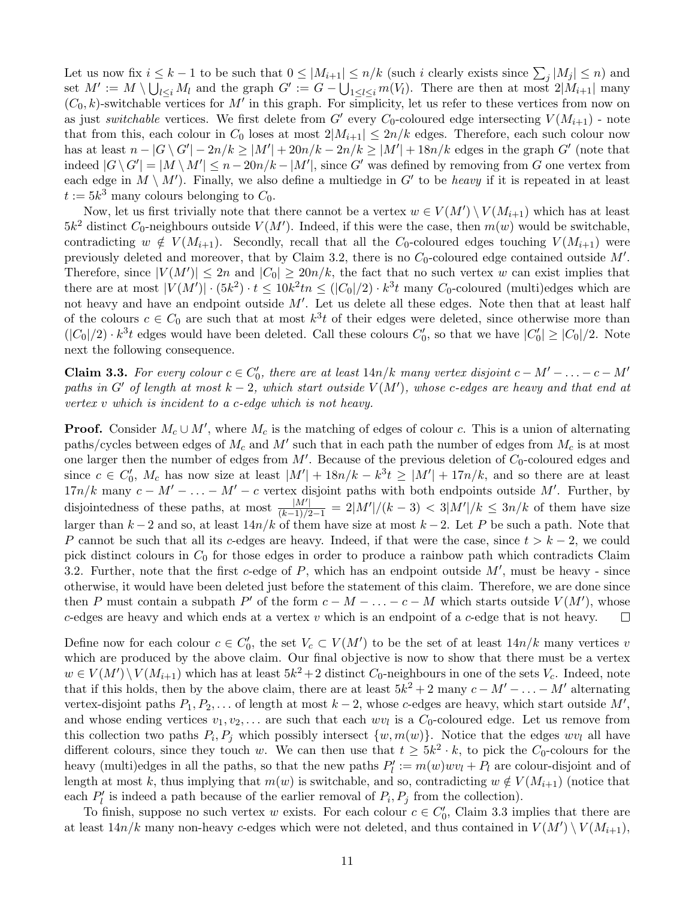Let us now fix  $i \leq k-1$  to be such that  $0 \leq |M_{i+1}| \leq n/k$  (such i clearly exists since  $\sum_j |M_j| \leq n$ ) and set  $M' := M \setminus \bigcup_{l \leq i} M_l$  and the graph  $G' := G - \bigcup_{1 \leq l \leq i} m(V_l)$ . There are then at most  $2|M_{i+1}|$  many  $(C_0, k)$ -switchable vertices for M' in this graph. For simplicity, let us refer to these vertices from now on as just switchable vertices. We first delete from G' every C<sub>0</sub>-coloured edge intersecting  $V(M_{i+1})$  - note that from this, each colour in  $C_0$  loses at most  $2|M_{i+1}| \leq 2n/k$  edges. Therefore, each such colour now has at least  $n - |G \setminus G'| - 2n/k \ge |M'| + 20n/k - 2n/k \ge |M'| + 18n/k$  edges in the graph G' (note that indeed  $|G \setminus G'| = |M \setminus M'| \leq n - 20n/k - |M'|$ , since G' was defined by removing from G one vertex from each edge in  $M \setminus M'$ ). Finally, we also define a multiedge in G' to be *heavy* if it is repeated in at least  $t := 5k^3$  many colours belonging to  $C_0$ .

Now, let us first trivially note that there cannot be a vertex  $w \in V(M') \setminus V(M_{i+1})$  which has at least  $5k^2$  distinct  $C_0$ -neighbours outside  $V(M')$ . Indeed, if this were the case, then  $m(w)$  would be switchable, contradicting  $w \notin V(M_{i+1})$ . Secondly, recall that all the C<sub>0</sub>-coloured edges touching  $V(M_{i+1})$  were previously deleted and moreover, that by Claim [3.2,](#page-9-3) there is no  $C_0$ -coloured edge contained outside  $M'$ . Therefore, since  $|V(M')| \leq 2n$  and  $|C_0| \geq 20n/k$ , the fact that no such vertex w can exist implies that there are at most  $|V(M')| \cdot (5k^2) \cdot t \leq 10k^2 \ln \leq (|C_0|/2) \cdot k^3 t$  many  $C_0$ -coloured (multi)edges which are not heavy and have an endpoint outside  $M'$ . Let us delete all these edges. Note then that at least half of the colours  $c \in C_0$  are such that at most  $k^3t$  of their edges were deleted, since otherwise more than  $(|C_0|/2) \cdot k^3 t$  edges would have been deleted. Call these colours  $C'_0$ , so that we have  $|C'_0| \ge |C_0|/2$ . Note next the following consequence.

<span id="page-10-0"></span>**Claim 3.3.** For every colour  $c \in C'_0$ , there are at least  $14n/k$  many vertex disjoint  $c - M' - \ldots - c - M'$ paths in G' of length at most  $k-2$ , which start outside  $V(M')$ , whose c-edges are heavy and that end at vertex v which is incident to a c-edge which is not heavy.

**Proof.** Consider  $M_c \cup M'$ , where  $M_c$  is the matching of edges of colour c. This is a union of alternating paths/cycles between edges of  $M_c$  and  $M'$  such that in each path the number of edges from  $M_c$  is at most one larger then the number of edges from  $M'$ . Because of the previous deletion of  $C_0$ -coloured edges and since  $c \in C'_0$ ,  $M_c$  has now size at least  $|M'| + 18n/k - k^3 t \ge |M'| + 17n/k$ , and so there are at least  $17n/k$  many  $c - M' - \ldots - M' - c$  vertex disjoint paths with both endpoints outside M'. Further, by disjointedness of these paths, at most  $\frac{|M'|}{(k-1)/2-1} = 2|M'|/(k-3) < 3|M'|/k \leq 3n/k$  of them have size larger than  $k-2$  and so, at least  $14n/k$  of them have size at most  $k-2$ . Let P be such a path. Note that P cannot be such that all its c-edges are heavy. Indeed, if that were the case, since  $t > k - 2$ , we could pick distinct colours in  $C_0$  for those edges in order to produce a rainbow path which contradicts Claim [3.2.](#page-9-3) Further, note that the first c-edge of  $P$ , which has an endpoint outside  $M'$ , must be heavy - since otherwise, it would have been deleted just before the statement of this claim. Therefore, we are done since then P must contain a subpath P' of the form  $c - M - \ldots - c - M$  which starts outside  $V(M')$ , whose  $c$ -edges are heavy and which ends at a vertex  $v$  which is an endpoint of a  $c$ -edge that is not heavy.  $\Box$ 

Define now for each colour  $c \in C'_0$ , the set  $V_c \subset V(M')$  to be the set of at least  $14n/k$  many vertices v which are produced by the above claim. Our final objective is now to show that there must be a vertex  $w \in V(M') \setminus V(M_{i+1})$  which has at least  $5k^2 + 2$  distinct  $C_0$ -neighbours in one of the sets  $V_c$ . Indeed, note that if this holds, then by the above claim, there are at least  $5k^2 + 2$  many  $c - M' - \ldots - M'$  alternating vertex-disjoint paths  $P_1, P_2, \ldots$  of length at most  $k-2$ , whose c-edges are heavy, which start outside  $M'$ , and whose ending vertices  $v_1, v_2, \ldots$  are such that each  $wv_l$  is a  $C_0$ -coloured edge. Let us remove from this collection two paths  $P_i, P_j$  which possibly intersect  $\{w, m(w)\}\$ . Notice that the edges  $wv_l$  all have different colours, since they touch w. We can then use that  $t \geq 5k^2 \cdot k$ , to pick the  $C_0$ -colours for the heavy (multi)edges in all the paths, so that the new paths  $P'_l := m(w)wv_l + P_l$  are colour-disjoint and of length at most k, thus implying that  $m(w)$  is switchable, and so, contradicting  $w \notin V(M_{i+1})$  (notice that each  $P'_l$  is indeed a path because of the earlier removal of  $P_i, P_j$  from the collection).

To finish, suppose no such vertex w exists. For each colour  $c \in C'_0$ , Claim [3.3](#page-10-0) implies that there are at least  $14n/k$  many non-heavy c-edges which were not deleted, and thus contained in  $V(M') \setminus V(M_{i+1}),$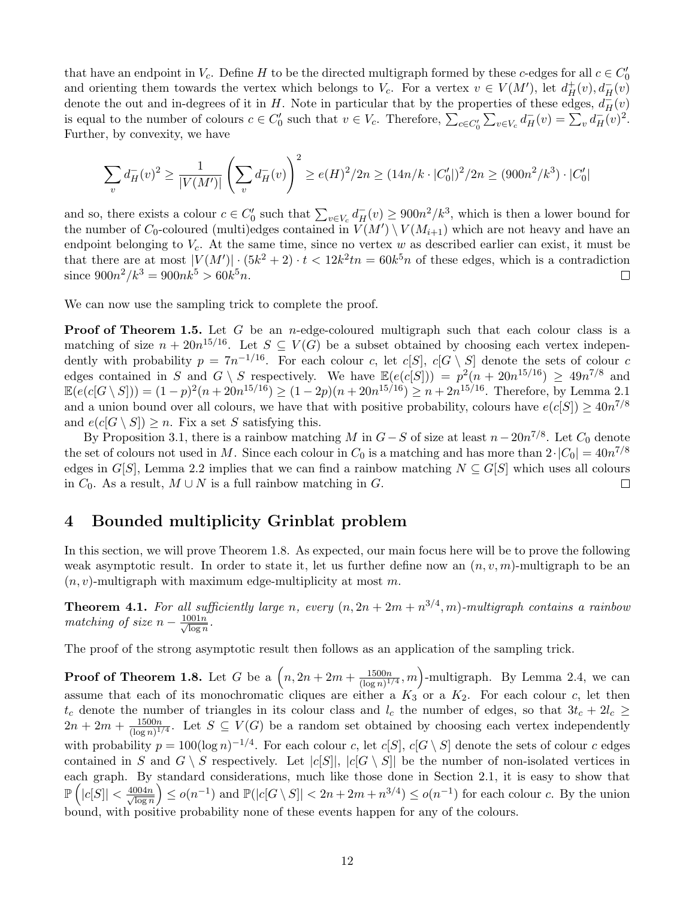that have an endpoint in  $V_c$ . Define H to be the directed multigraph formed by these c-edges for all  $c \in C'_0$ and orienting them towards the vertex which belongs to  $V_c$ . For a vertex  $v \in V(M')$ , let  $d^+_H(v), d^-_H(v)$ denote the out and in-degrees of it in H. Note in particular that by the properties of these edges,  $d_H^{\rightarrow}(v)$ is equal to the number of colours  $c \in C'_0$  such that  $v \in V_c$ . Therefore,  $\sum_{c \in C'_0} \sum_{v \in V_c} d_H^-(v) = \sum_v d_H^-(v)^2$ . Further, by convexity, we have

$$
\sum_{v} d_H^-(v)^2 \ge \frac{1}{|V(M')|} \left(\sum_{v} d_H^-(v)\right)^2 \ge e(H)^2/2n \ge (14n/k \cdot |C'_0|)^2/2n \ge (900n^2/k^3) \cdot |C'_0|
$$

and so, there exists a colour  $c \in C'_0$  such that  $\sum_{v \in V_c} d_H^-(v) \geq 900n^2/k^3$ , which is then a lower bound for the number of  $C_0$ -coloured (multi)edges contained in  $V(M') \setminus V(M_{i+1})$  which are not heavy and have an endpoint belonging to  $V_c$ . At the same time, since no vertex w as described earlier can exist, it must be that there are at most  $|V(M')| \cdot (5k^2 + 2) \cdot t < 12k^2$ tn = 60 $k^5n$  of these edges, which is a contradiction since  $900n^2/k^3 = 900nk^5 > 60k^5n$ .  $\Box$ 

We can now use the sampling trick to complete the proof.

**Proof of Theorem [1.5.](#page-3-2)** Let G be an *n*-edge-coloured multigraph such that each colour class is a matching of size  $n + 20n^{15/16}$ . Let  $S \subseteq V(G)$  be a subset obtained by choosing each vertex independently with probability  $p = 7n^{-1/16}$ . For each colour c, let  $c[S]$ ,  $c[G \setminus S]$  denote the sets of colour c edges contained in S and  $G \setminus S$  respectively. We have  $\mathbb{E}(e(c|S|)) = p^2(n + 20n^{15/16}) \geq 49n^{7/8}$  and  $\mathbb{E}(e(c|G \setminus S|)) = (1-p)^2(n+20n^{15/16}) \ge (1-2p)(n+20n^{15/16}) \ge n+2n^{15/16}$ . Therefore, by Lemma [2.1](#page-5-3) and a union bound over all colours, we have that with positive probability, colours have  $e(c|S|) \geq 40n^{7/8}$ and  $e(c[G \setminus S]) \geq n$ . Fix a set S satisfying this.

By Proposition [3.1,](#page-9-1) there is a rainbow matching M in  $G-S$  of size at least  $n-20n^{7/8}$ . Let  $C_0$  denote the set of colours not used in M. Since each colour in  $C_0$  is a matching and has more than  $2 \cdot |C_0| = 40n^{7/8}$ edges in G[S], Lemma [2.2](#page-5-0) implies that we can find a rainbow matching  $N \subseteq G[S]$  which uses all colours in  $C_0$ . As a result,  $M \cup N$  is a full rainbow matching in G.  $\Box$ 

# <span id="page-11-0"></span>4 Bounded multiplicity Grinblat problem

In this section, we will prove Theorem [1.8.](#page-4-0) As expected, our main focus here will be to prove the following weak asymptotic result. In order to state it, let us further define now an  $(n, v, m)$ -multigraph to be an  $(n, v)$ -multigraph with maximum edge-multiplicity at most m.

<span id="page-11-1"></span>**Theorem 4.1.** For all sufficiently large n, every  $(n, 2n + 2m + n^{3/4}, m)$ -multigraph contains a rainbow matching of size  $n - \frac{1001n}{\sqrt{\log n}}$  $\frac{\text{J}01n}{\log n}$ .

The proof of the strong asymptotic result then follows as an application of the sampling trick.

**Proof of Theorem [1.8.](#page-4-0)** Let G be a  $\left(n, 2n + 2m + \frac{1500n}{(\log n)^{1}}\right)$  $\frac{1500n}{(\log n)^{1/4}}$ , m)-multigraph. By Lemma [2.4,](#page-6-0) we can assume that each of its monochromatic cliques are either a  $K_3$  or a  $K_2$ . For each colour c, let then  $t_c$  denote the number of triangles in its colour class and  $l_c$  the number of edges, so that  $3t_c + 2l_c \ge$  $2n + 2m + \frac{1500n}{(\log n)^{1}}$  $\frac{1500n}{(\log n)^{1/4}}$ . Let  $S \subseteq V(G)$  be a random set obtained by choosing each vertex independently with probability  $p = 100(\log n)^{-1/4}$ . For each colour c, let  $c[S]$ ,  $c[G \setminus S]$  denote the sets of colour c edges contained in S and  $G \setminus S$  respectively. Let  $|c[S]|, |c[G \setminus S]|$  be the number of non-isolated vertices in each graph. By standard considerations, much like those done in Section [2.1,](#page-6-1) it is easy to show that  $\mathbb{P}\left(|c[S]|<\frac{4004n}{\sqrt{\log n}}\right)$  $\overline{\log n}$  $\leq o(n^{-1})$  and  $\mathbb{P}(|c|G \setminus S|| < 2n + 2m + n^{3/4}) \leq o(n^{-1})$  for each colour c. By the union bound, with positive probability none of these events happen for any of the colours.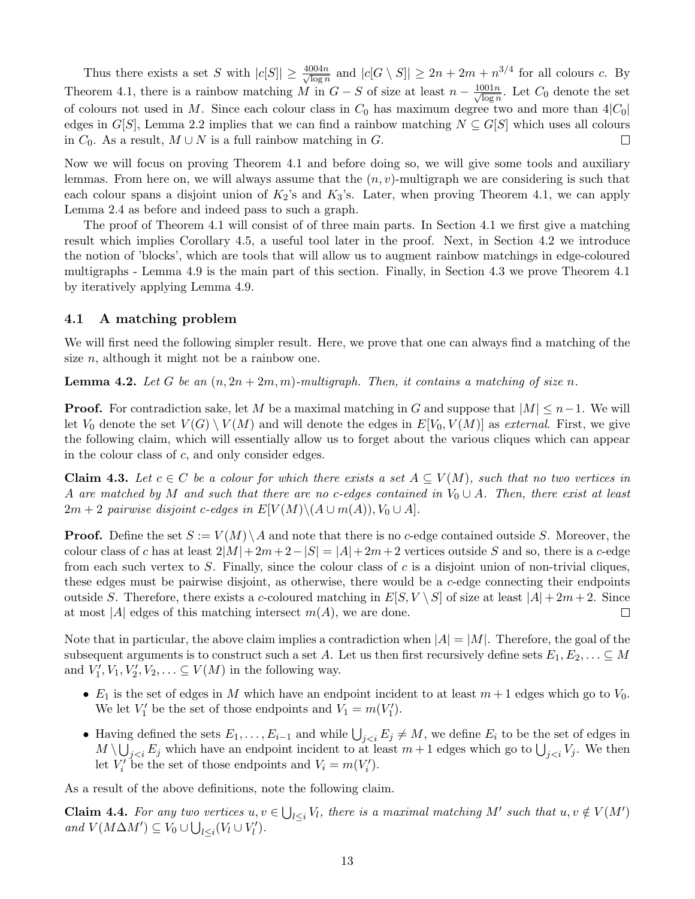Thus there exists a set S with  $|c[S]| \geq \frac{4004n}{\sqrt{25}}$  $\frac{1004n}{\log n}$  and  $|c[G \setminus S]| \geq 2n + 2m + n^{3/4}$  for all colours c. By Theorem [4.1,](#page-11-1) there is a rainbow matching M in  $G-S$  of size at least  $n-\frac{1001n}{\sqrt{\log n}}$  $\frac{\text{J}01n}{\log n}$ . Let  $C_0$  denote the set of colours not used in M. Since each colour class in  $C_0$  has maximum degree two and more than  $4|C_0|$ edges in  $G[S]$ , Lemma [2.2](#page-5-0) implies that we can find a rainbow matching  $N \subseteq G[S]$  which uses all colours in  $C_0$ . As a result,  $M \cup N$  is a full rainbow matching in G.  $\Box$ 

Now we will focus on proving Theorem [4.1](#page-11-1) and before doing so, we will give some tools and auxiliary lemmas. From here on, we will always assume that the  $(n, v)$ -multigraph we are considering is such that each colour spans a disjoint union of  $K_2$ 's and  $K_3$ 's. Later, when proving Theorem [4.1,](#page-11-1) we can apply Lemma [2.4](#page-6-0) as before and indeed pass to such a graph.

The proof of Theorem [4.1](#page-11-1) will consist of of three main parts. In Section [4.1](#page-12-0) we first give a matching result which implies Corollary [4.5,](#page-13-0) a useful tool later in the proof. Next, in Section [4.2](#page-13-1) we introduce the notion of 'blocks', which are tools that will allow us to augment rainbow matchings in edge-coloured multigraphs - Lemma [4.9](#page-15-0) is the main part of this section. Finally, in Section [4.3](#page-17-0) we prove Theorem [4.1](#page-11-1) by iteratively applying Lemma [4.9.](#page-15-0)

### <span id="page-12-0"></span>4.1 A matching problem

We will first need the following simpler result. Here, we prove that one can always find a matching of the size  $n$ , although it might not be a rainbow one.

**Lemma 4.2.** Let G be an  $(n, 2n + 2m, m)$ -multigraph. Then, it contains a matching of size n.

**Proof.** For contradiction sake, let M be a maximal matching in G and suppose that  $|M| \leq n-1$ . We will let  $V_0$  denote the set  $V(G) \setminus V(M)$  and will denote the edges in  $E[V_0, V(M)]$  as external. First, we give the following claim, which will essentially allow us to forget about the various cliques which can appear in the colour class of c, and only consider edges.

<span id="page-12-1"></span>**Claim 4.3.** Let  $c \in C$  be a colour for which there exists a set  $A \subseteq V(M)$ , such that no two vertices in A are matched by M and such that there are no c-edges contained in  $V_0 \cup A$ . Then, there exist at least  $2m + 2$  pairwise disjoint c-edges in  $E[V(M) \setminus (A \cup m(A)), V_0 \cup A]$ .

**Proof.** Define the set  $S := V(M) \setminus A$  and note that there is no c-edge contained outside S. Moreover, the colour class of c has at least  $2|M|+2m+2-|S|=|A|+2m+2$  vertices outside S and so, there is a c-edge from each such vertex to S. Finally, since the colour class of c is a disjoint union of non-trivial cliques, these edges must be pairwise disjoint, as otherwise, there would be a c-edge connecting their endpoints outside S. Therefore, there exists a c-coloured matching in  $E[S, V \setminus S]$  of size at least  $|A| + 2m + 2$ . Since at most |A| edges of this matching intersect  $m(A)$ , we are done.  $\Box$ 

Note that in particular, the above claim implies a contradiction when  $|A| = |M|$ . Therefore, the goal of the subsequent arguments is to construct such a set A. Let us then first recursively define sets  $E_1, E_2, \ldots \subseteq M$ and  $V'_1, V_1, V'_2, V_2, \ldots \subseteq V(M)$  in the following way.

- $E_1$  is the set of edges in M which have an endpoint incident to at least  $m+1$  edges which go to  $V_0$ . We let  $V'_1$  be the set of those endpoints and  $V_1 = m(V'_1)$ .
- Having defined the sets  $E_1, \ldots, E_{i-1}$  and while  $\bigcup_{j, we define  $E_i$  to be the set of edges in$  $M \setminus \bigcup_{j < i} E_j$  which have an endpoint incident to at least  $m + 1$  edges which go to  $\bigcup_{j < i} V_j$ . We then let  $V_i'$  be the set of those endpoints and  $V_i = m(V_i').$

As a result of the above definitions, note the following claim.

**Claim 4.4.** For any two vertices  $u, v \in \bigcup_{l \leq i} V_l$ , there is a maximal matching M' such that  $u, v \notin V(M')$ and  $V(M\Delta M') \subseteq V_0 \cup \bigcup_{l \leq i} (V_l \cup V'_l)$ .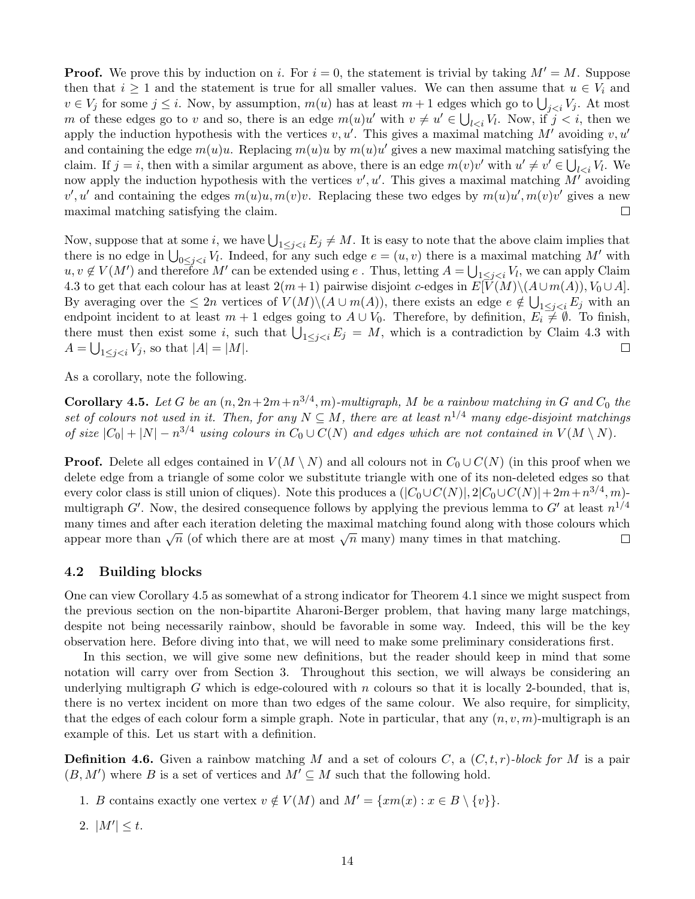**Proof.** We prove this by induction on i. For  $i = 0$ , the statement is trivial by taking  $M' = M$ . Suppose then that  $i \geq 1$  and the statement is true for all smaller values. We can then assume that  $u \in V_i$  and  $v \in V_j$  for some  $j \leq i$ . Now, by assumption,  $m(u)$  has at least  $m+1$  edges which go to  $\bigcup_{j \leq i} V_j$ . At most m of these edges go to v and so, there is an edge  $m(u)u'$  with  $v \neq u' \in \bigcup_{l \leq i} V_l$ . Now, if  $j < i$ , then we apply the induction hypothesis with the vertices  $v, u'$ . This gives a maximal matching M' avoiding  $v, u'$ and containing the edge  $m(u)u$ . Replacing  $m(u)u$  by  $m(u)u'$  gives a new maximal matching satisfying the claim. If  $j = i$ , then with a similar argument as above, there is an edge  $m(v)v'$  with  $u' \neq v' \in \bigcup_{l \leq i} V_l$ . We now apply the induction hypothesis with the vertices  $v', u'$ . This gives a maximal matching  $M'$  avoiding v', u' and containing the edges  $m(u)u, m(v)v$ . Replacing these two edges by  $m(u)u', m(v)v'$  gives a new maximal matching satisfying the claim.  $\Box$ 

Now, suppose that at some i, we have  $\bigcup_{1\leq j. It is easy to note that the above claim implies that$ there is no edge in  $\bigcup_{0\leq j. Indeed, for any such edge  $e=(u,v)$  there is a maximal matching M' with$  $u, v \notin V(M')$  and therefore M' can be extended using e. Thus, letting  $A = \bigcup_{1 \leq j < i} V_l$ , we can apply Claim [4.3](#page-12-1) to get that each colour has at least  $2(m+1)$  pairwise disjoint c-edges in  $E[V(M)\setminus (A\cup m(A)), V_0\cup A]$ . By averaging over the  $\leq 2n$  vertices of  $V(M)\setminus (A\cup m(A))$ , there exists an edge  $e \notin \bigcup_{1\leq j < i} E_j$  with an endpoint incident to at least  $m + 1$  edges going to  $A \cup V_0$ . Therefore, by definition,  $E_i \neq \emptyset$ . To finish, there must then exist some i, such that  $\bigcup_{1 \leq j < i} E_j = M$ , which is a contradiction by Claim [4.3](#page-12-1) with  $A = \bigcup_{1 \leq j < i} V_j$ , so that  $|A| = |M|$ .  $\Box$ 

<span id="page-13-0"></span>As a corollary, note the following.

**Corollary 4.5.** Let G be an  $(n, 2n+2m+n^{3/4}, m)$ -multigraph, M be a rainbow matching in G and  $C_0$  the set of colours not used in it. Then, for any  $N \subseteq M$ , there are at least  $n^{1/4}$  many edge-disjoint matchings of size  $|C_0|+|N|-n^{3/4}$  using colours in  $C_0\cup C(N)$  and edges which are not contained in  $V(M\setminus N)$ .

**Proof.** Delete all edges contained in  $V(M \setminus N)$  and all colours not in  $C_0 \cup C(N)$  (in this proof when we delete edge from a triangle of some color we substitute triangle with one of its non-deleted edges so that every color class is still union of cliques). Note this produces a  $(|C_0 \cup C(N)|, 2|C_0 \cup C(N)|+2m+n^{3/4}, m)$ multigraph G'. Now, the desired consequence follows by applying the previous lemma to G' at least  $n^{1/4}$ many times and after each iteration deleting the maximal matching found along with those colours which appear more than  $\sqrt{n}$  (of which there are at most  $\sqrt{n}$  many) many times in that matching.  $\Box$ 

### <span id="page-13-1"></span>4.2 Building blocks

One can view Corollary [4.5](#page-13-0) as somewhat of a strong indicator for Theorem [4.1](#page-11-1) since we might suspect from the previous section on the non-bipartite Aharoni-Berger problem, that having many large matchings, despite not being necessarily rainbow, should be favorable in some way. Indeed, this will be the key observation here. Before diving into that, we will need to make some preliminary considerations first.

In this section, we will give some new definitions, but the reader should keep in mind that some notation will carry over from Section [3.](#page-9-0) Throughout this section, we will always be considering an underlying multigraph G which is edge-coloured with n colours so that it is locally 2-bounded, that is, there is no vertex incident on more than two edges of the same colour. We also require, for simplicity, that the edges of each colour form a simple graph. Note in particular, that any  $(n, v, m)$ -multigraph is an example of this. Let us start with a definition.

**Definition 4.6.** Given a rainbow matching M and a set of colours C, a  $(C, t, r)$ -block for M is a pair  $(B, M')$  where B is a set of vertices and  $M' \subseteq M$  such that the following hold.

- 1. B contains exactly one vertex  $v \notin V(M)$  and  $M' = \{xm(x) : x \in B \setminus \{v\}\}.$
- 2.  $|M'| \leq t$ .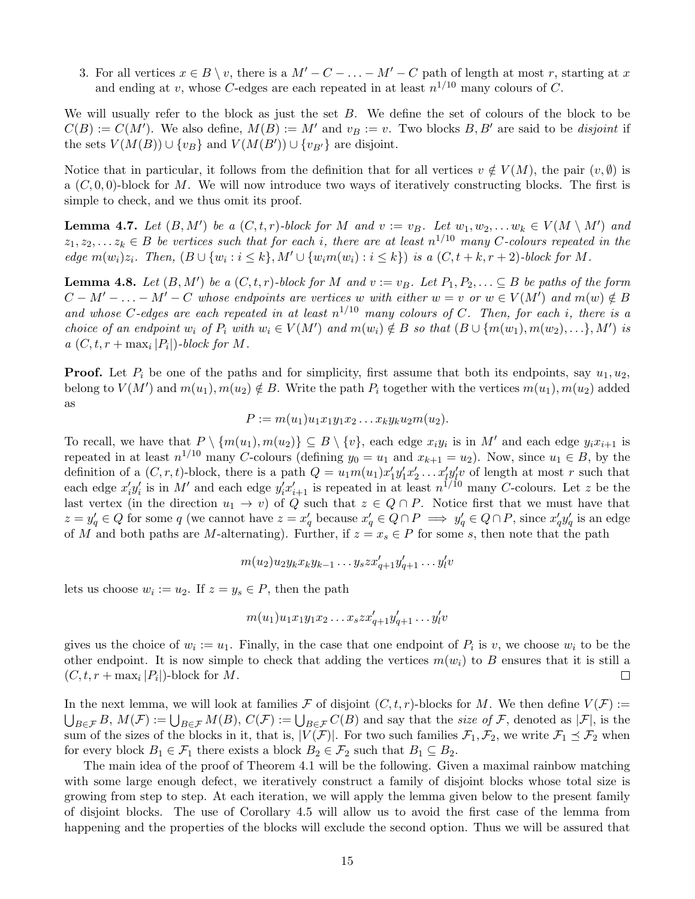3. For all vertices  $x \in B \setminus v$ , there is a  $M' - C - \ldots - M' - C$  path of length at most r, starting at x and ending at v, whose C-edges are each repeated in at least  $n^{1/10}$  many colours of C.

We will usually refer to the block as just the set  $B$ . We define the set of colours of the block to be  $C(B) := C(M')$ . We also define,  $M(B) := M'$  and  $v_B := v$ . Two blocks B, B' are said to be disjoint if the sets  $V(M(B)) \cup \{v_B\}$  and  $V(M(B')) \cup \{v_{B'}\}$  are disjoint.

Notice that in particular, it follows from the definition that for all vertices  $v \notin V(M)$ , the pair  $(v, \emptyset)$  is a  $(C, 0, 0)$ -block for M. We will now introduce two ways of iteratively constructing blocks. The first is simple to check, and we thus omit its proof.

<span id="page-14-1"></span>**Lemma 4.7.** Let  $(B, M')$  be a  $(C, t, r)$ -block for M and  $v := v_B$ . Let  $w_1, w_2, \ldots w_k \in V(M \setminus M')$  and  $z_1, z_2, \ldots z_k \in B$  be vertices such that for each i, there are at least  $n^{1/10}$  many C-colours repeated in the edge  $m(w_i)z_i$ . Then,  $(B \cup \{w_i : i \leq k\}, M' \cup \{w_i m(w_i) : i \leq k\})$  is a  $(C, t + k, r + 2)$ -block for M.

<span id="page-14-0"></span>**Lemma 4.8.** Let  $(B, M')$  be a  $(C, t, r)$ -block for M and  $v := v_B$ . Let  $P_1, P_2, \ldots \subseteq B$  be paths of the form  $C-M'-...-M'-C$  whose endpoints are vertices w with either  $w=v$  or  $w\in V(M')$  and  $m(w)\notin B$ and whose C-edges are each repeated in at least  $n^{1/10}$  many colours of C. Then, for each i, there is a choice of an endpoint  $w_i$  of  $P_i$  with  $w_i \in V(M')$  and  $m(w_i) \notin B$  so that  $(B \cup \{m(w_1), m(w_2), \ldots\}, M')$  is  $a(C, t, r + \max_i |P_i|)$ -block for M.

**Proof.** Let  $P_i$  be one of the paths and for simplicity, first assume that both its endpoints, say  $u_1, u_2$ , belong to  $V(M')$  and  $m(u_1), m(u_2) \notin B$ . Write the path  $P_i$  together with the vertices  $m(u_1), m(u_2)$  added as

$$
P:=m(u_1)u_1x_1y_1x_2\ldots x_ky_ku_2m(u_2).
$$

To recall, we have that  $P \setminus \{m(u_1), m(u_2)\} \subseteq B \setminus \{v\}$ , each edge  $x_i y_i$  is in M' and each edge  $y_i x_{i+1}$  is repeated in at least  $n^{1/10}$  many C-colours (defining  $y_0 = u_1$  and  $x_{k+1} = u_2$ ). Now, since  $u_1 \in B$ , by the definition of a  $(C, r, t)$ -block, there is a path  $Q = u_1 m(u_1) x_1' y_1' x_2' \dots x_l' y_l' v$  of length at most r such that each edge  $x_i'y_i'$  is in M' and each edge  $y_i'x_{i+1}'$  is repeated in at least  $n^{1/10}$  many C-colours. Let z be the last vertex (in the direction  $u_1 \to v$ ) of Q such that  $z \in Q \cap P$ . Notice first that we must have that  $z = y'_q \in Q$  for some q (we cannot have  $z = x'_q$  because  $x'_q \in Q \cap P \implies y'_q \in Q \cap P$ , since  $x'_q y'_q$  is an edge of M and both paths are M-alternating). Further, if  $z = x_s \in P$  for some s, then note that the path

$$
m(u_2)u_2y_kx_ky_{k-1}\dots y_szx'_{q+1}y'_{q+1}\dots y'_lv
$$

lets us choose  $w_i := u_2$ . If  $z = y_s \in P$ , then the path

$$
m(u_1)u_1x_1y_1x_2\ldots x_szx'_{q+1}y'_{q+1}\ldots y'_{l}v
$$

gives us the choice of  $w_i := u_1$ . Finally, in the case that one endpoint of  $P_i$  is v, we choose  $w_i$  to be the other endpoint. It is now simple to check that adding the vertices  $m(w_i)$  to B ensures that it is still a  $(C, t, r + \max_i |P_i|)$ -block for M.  $\Box$ 

In the next lemma, we will look at families F of disjoint  $(C, t, r)$ -blocks for M. We then define  $V(F) :=$  $\bigcup_{B\in\mathcal{F}}B, M(\mathcal{F}):=\bigcup_{B\in\mathcal{F}}M(B), C(\mathcal{F}):=\bigcup_{B\in\mathcal{F}}C(B)$  and say that the *size of*  $\mathcal{F}$ , denoted as  $|\mathcal{F}|$ , is the sum of the sizes of the blocks in it, that is,  $|V(\mathcal{F})|$ . For two such families  $\mathcal{F}_1, \mathcal{F}_2$ , we write  $\mathcal{F}_1 \preceq \mathcal{F}_2$  when for every block  $B_1 \in \mathcal{F}_1$  there exists a block  $B_2 \in \mathcal{F}_2$  such that  $B_1 \subseteq B_2$ .

The main idea of the proof of Theorem [4.1](#page-11-1) will be the following. Given a maximal rainbow matching with some large enough defect, we iteratively construct a family of disjoint blocks whose total size is growing from step to step. At each iteration, we will apply the lemma given below to the present family of disjoint blocks. The use of Corollary [4.5](#page-13-0) will allow us to avoid the first case of the lemma from happening and the properties of the blocks will exclude the second option. Thus we will be assured that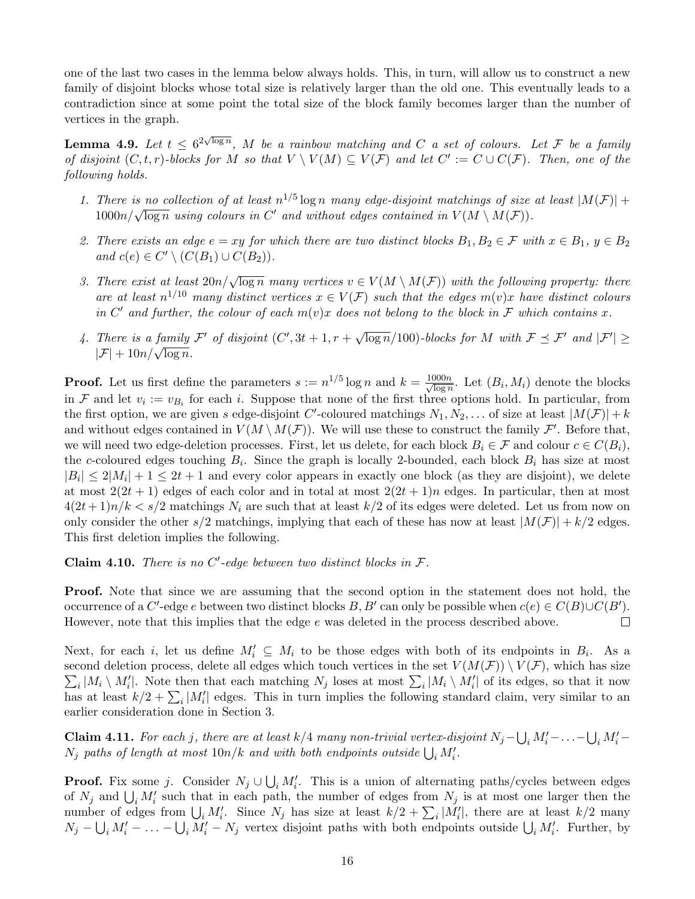one of the last two cases in the lemma below always holds. This, in turn, will allow us to construct a new family of disjoint blocks whose total size is relatively larger than the old one. This eventually leads to a contradiction since at some point the total size of the block family becomes larger than the number of vertices in the graph.

<span id="page-15-0"></span>**Lemma 4.9.** Let  $t \leq 6^{2\sqrt{\log n}}$ , M be a rainbow matching and C a set of colours. Let F be a family of disjoint  $(C, t, r)$ -blocks for M so that  $V \setminus V(M) \subseteq V(\mathcal{F})$  and let  $C' := C \cup C(\mathcal{F})$ . Then, one of the following holds.

- 1. There is no collection of at least  $n^{1/5}$  log n many edge-disjoint matchings of size at least  $|M(\mathcal{F})|$  + There is no contection of at least  $n \in \log n$  many eage-alsform matchings of size  $1000n/\sqrt{\log n}$  using colours in C' and without edges contained in  $V(M \setminus M(\mathcal{F}))$ .
- 2. There exists an edge  $e = xy$  for which there are two distinct blocks  $B_1, B_2 \in \mathcal{F}$  with  $x \in B_1, y \in B_2$ and  $c(e) \in C' \setminus (C(B_1) \cup C(B_2)).$
- 3. There exist at least  $20n/\sqrt{\log n}$  many vertices  $v \in V(M \setminus M(\mathcal{F}))$  with the following property: there are at least  $n^{1/10}$  many distinct vertices  $x \in V(\mathcal{F})$  such that the edges  $m(v)x$  have distinct colours in C' and further, the colour of each  $m(v)x$  does not belong to the block in F which contains x.
- 4. There is a family  $\mathcal{F}'$  of disjoint  $(C', 3t + 1, r +$  $\sqrt{\log n}/100$ )-blocks for M with  $\mathcal{F} \preceq \mathcal{F}'$  and  $|\mathcal{F}'| \geq$  $|F| + 10n/\sqrt{\log n}$ .

**Proof.** Let us first define the parameters  $s := n^{1/5} \log n$  and  $k = \frac{1000n}{\sqrt{\log n}}$  $\frac{\text{J}00n}{\log n}$ . Let  $(B_i, M_i)$  denote the blocks in F and let  $v_i := v_{B_i}$  for each i. Suppose that none of the first three options hold. In particular, from the first option, we are given s edge-disjoint C'-coloured matchings  $N_1, N_2, \ldots$  of size at least  $|M(\mathcal{F})| + k$ and without edges contained in  $V(M \setminus M(\mathcal{F}))$ . We will use these to construct the family  $\mathcal{F}'$ . Before that, we will need two edge-deletion processes. First, let us delete, for each block  $B_i \in \mathcal{F}$  and colour  $c \in C(B_i)$ , the c-coloured edges touching  $B_i$ . Since the graph is locally 2-bounded, each block  $B_i$  has size at most  $|B_i| \leq 2|M_i| + 1 \leq 2t + 1$  and every color appears in exactly one block (as they are disjoint), we delete at most  $2(2t+1)$  edges of each color and in total at most  $2(2t+1)n$  edges. In particular, then at most  $4(2t+1)n/k < s/2$  matchings  $N_i$  are such that at least  $k/2$  of its edges were deleted. Let us from now on only consider the other s/2 matchings, implying that each of these has now at least  $|M(\mathcal{F})| + k/2$  edges. This first deletion implies the following.

<span id="page-15-1"></span>Claim 4.10. There is no  $C'$ -edge between two distinct blocks in  $\mathcal{F}$ .

**Proof.** Note that since we are assuming that the second option in the statement does not hold, the occurrence of a C'-edge e between two distinct blocks B, B' can only be possible when  $c(e) \in C(B) \cup C(B')$ . However, note that this implies that the edge e was deleted in the process described above.  $\Box$ 

Next, for each i, let us define  $M'_i \subseteq M_i$  to be those edges with both of its endpoints in  $B_i$ . As a  $\sum_i |M_i \setminus M'_i|$ . Note then that each matching  $N_j$  loses at most  $\sum_i |M_i \setminus M'_i|$  of its edges, so that it now second deletion process, delete all edges which touch vertices in the set  $V(M(\mathcal{F})) \setminus V(\mathcal{F})$ , which has size has at least  $k/2 + \sum_i |M'_i|$  edges. This in turn implies the following standard claim, very similar to an earlier consideration done in Section [3.](#page-9-0)

<span id="page-15-2"></span>**Claim 4.11.** For each j, there are at least k/4 many non-trivial vertex-disjoint  $N_j - \bigcup_i M'_i - \ldots - \bigcup_i M'_i$  $N_j$  paths of length at most  $10n/k$  and with both endpoints outside  $\bigcup_i M'_i$ .

**Proof.** Fix some j. Consider  $N_j \cup \bigcup_i M'_i$ . This is a union of alternating paths/cycles between edges of  $N_j$  and  $\bigcup_i M'_i$  such that in each path, the number of edges from  $N_j$  is at most one larger then the number of edges from  $\bigcup_i M'_i$ . Since  $N_j$  has size at least  $k/2 + \sum_i |M'_i|$ , there are at least  $k/2$  many  $N_j - \bigcup_i M'_i - \ldots - \bigcup_i M'_i - N_j$  vertex disjoint paths with both endpoints outside  $\bigcup_i M'_i$ . Further, by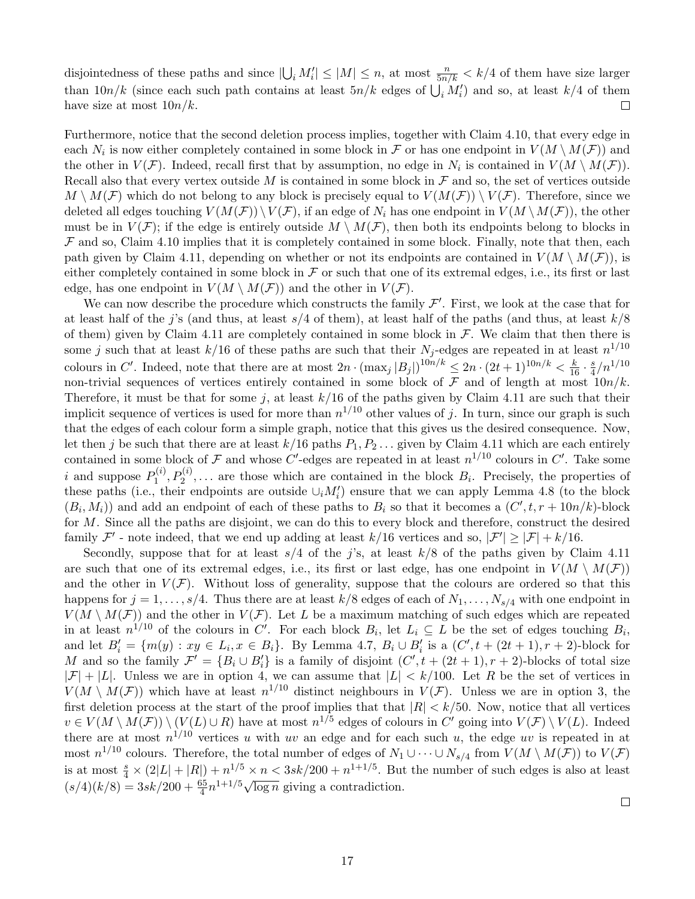disjointedness of these paths and since  $|\bigcup_i M'_i| \leq |M| \leq n$ , at most  $\frac{n}{5n/k} < k/4$  of them have size larger than  $10n/k$  (since each such path contains at least  $5n/k$  edges of  $\bigcup_i M'_i$ ) and so, at least  $k/4$  of them have size at most  $10n/k$ .  $\Box$ 

Furthermore, notice that the second deletion process implies, together with Claim [4.10,](#page-15-1) that every edge in each  $N_i$  is now either completely contained in some block in  $\mathcal F$  or has one endpoint in  $V(M \setminus M(\mathcal F))$  and the other in  $V(\mathcal{F})$ . Indeed, recall first that by assumption, no edge in  $N_i$  is contained in  $V(M \setminus M(\mathcal{F}))$ . Recall also that every vertex outside M is contained in some block in  $\mathcal F$  and so, the set of vertices outside  $M \setminus M(F)$  which do not belong to any block is precisely equal to  $V(M(F)) \setminus V(F)$ . Therefore, since we deleted all edges touching  $V(M(\mathcal{F})) \setminus V(\mathcal{F})$ , if an edge of  $N_i$  has one endpoint in  $V(M \setminus M(\mathcal{F}))$ , the other must be in  $V(\mathcal{F})$ ; if the edge is entirely outside  $M \setminus M(\mathcal{F})$ , then both its endpoints belong to blocks in  $\mathcal F$  and so, Claim [4.10](#page-15-1) implies that it is completely contained in some block. Finally, note that then, each path given by Claim [4.11,](#page-15-2) depending on whether or not its endpoints are contained in  $V(M \setminus M(\mathcal{F}))$ , is either completely contained in some block in  $\mathcal F$  or such that one of its extremal edges, i.e., its first or last edge, has one endpoint in  $V(M \setminus M(\mathcal{F}))$  and the other in  $V(\mathcal{F})$ .

We can now describe the procedure which constructs the family  $\mathcal{F}'$ . First, we look at the case that for at least half of the j's (and thus, at least  $s/4$  of them), at least half of the paths (and thus, at least  $k/8$ of them) given by Claim [4.11](#page-15-2) are completely contained in some block in  $\mathcal{F}$ . We claim that then there is some j such that at least  $k/16$  of these paths are such that their  $N_j$ -edges are repeated in at least  $n^{1/10}$ colours in C'. Indeed, note that there are at most  $2n \cdot (\max_j |B_j|)^{10n/k} \leq 2n \cdot (2t+1)^{10n/k} < \frac{k}{16} \cdot \frac{s}{4}$  $\frac{s}{4} / n^{1/10}$ non-trivial sequences of vertices entirely contained in some block of  $\mathcal F$  and of length at most  $10n/k$ . Therefore, it must be that for some j, at least  $k/16$  of the paths given by Claim [4.11](#page-15-2) are such that their implicit sequence of vertices is used for more than  $n^{1/10}$  other values of j. In turn, since our graph is such that the edges of each colour form a simple graph, notice that this gives us the desired consequence. Now, let then j be such that there are at least  $k/16$  paths  $P_1, P_2, \ldots$  given by Claim [4.11](#page-15-2) which are each entirely contained in some block of  $\mathcal F$  and whose C'-edges are repeated in at least  $n^{1/10}$  colours in C'. Take some i and suppose  $P_1^{(i)}$  $D_1^{(i)}, P_2^{(i)}, \ldots$  are those which are contained in the block  $B_i$ . Precisely, the properties of these paths (i.e., their endpoints are outside  $\cup_i M'_i$ ) ensure that we can apply Lemma [4.8](#page-14-0) (to the block  $(B_i, M_i)$  and add an endpoint of each of these paths to  $B_i$  so that it becomes a  $(C', t, r + 10n/k)$ -block for M. Since all the paths are disjoint, we can do this to every block and therefore, construct the desired family  $\mathcal{F}'$  - note indeed, that we end up adding at least  $k/16$  vertices and so,  $|\mathcal{F}'| \geq |\mathcal{F}| + k/16$ .

Secondly, suppose that for at least  $s/4$  of the j's, at least  $k/8$  of the paths given by Claim [4.11](#page-15-2) are such that one of its extremal edges, i.e., its first or last edge, has one endpoint in  $V(M \setminus M(\mathcal{F}))$ and the other in  $V(\mathcal{F})$ . Without loss of generality, suppose that the colours are ordered so that this happens for  $j = 1, \ldots, s/4$ . Thus there are at least  $k/8$  edges of each of  $N_1, \ldots, N_{s/4}$  with one endpoint in  $V(M \setminus M(\mathcal{F}))$  and the other in  $V(\mathcal{F})$ . Let L be a maximum matching of such edges which are repeated in at least  $n^{1/10}$  of the colours in C'. For each block  $B_i$ , let  $L_i \subseteq L$  be the set of edges touching  $B_i$ , and let  $B_i' = \{m(y) : xy \in L_i, x \in B_i\}$ . By Lemma [4.7,](#page-14-1)  $B_i \cup B_i'$  is a  $(C', t + (2t + 1), r + 2)$ -block for M and so the family  $\mathcal{F}' = \{B_i \cup B'_i\}$  is a family of disjoint  $(C', t + (2t + 1), r + 2)$ -blocks of total size  $|\mathcal{F}| + |L|$ . Unless we are in option 4, we can assume that  $|L| < k/100$ . Let R be the set of vertices in  $V(M \setminus M(F))$  which have at least  $n^{1/10}$  distinct neighbours in  $V(F)$ . Unless we are in option 3, the first deletion process at the start of the proof implies that that  $|R| < k/50$ . Now, notice that all vertices  $v \in V(M \setminus M(\mathcal{F})) \setminus (V(L) \cup R)$  have at most  $n^{1/5}$  edges of colours in C' going into  $V(\mathcal{F}) \setminus V(L)$ . Indeed there are at most  $n^{1/10}$  vertices u with uv an edge and for each such u, the edge uv is repeated in at most  $n^{1/10}$  colours. Therefore, the total number of edges of  $N_1 \cup \cdots \cup N_{s/4}$  from  $V(M \setminus M(\mathcal{F}))$  to  $V(\mathcal{F})$ is at most  $\frac{s}{4} \times (2|L| + |R|) + n^{1/5} \times n < 3sk/200 + n^{1+1/5}$ . But the number of such edges is also at least s at most  $\frac{1}{4} \times (2|L| + |L|) + h \times h \times 3sh/200 + h$ . But<br>  $(s/4)(k/8) = 3sk/200 + \frac{65}{4}n^{1+1/5}\sqrt{\log n}$  giving a contradiction.

 $\Box$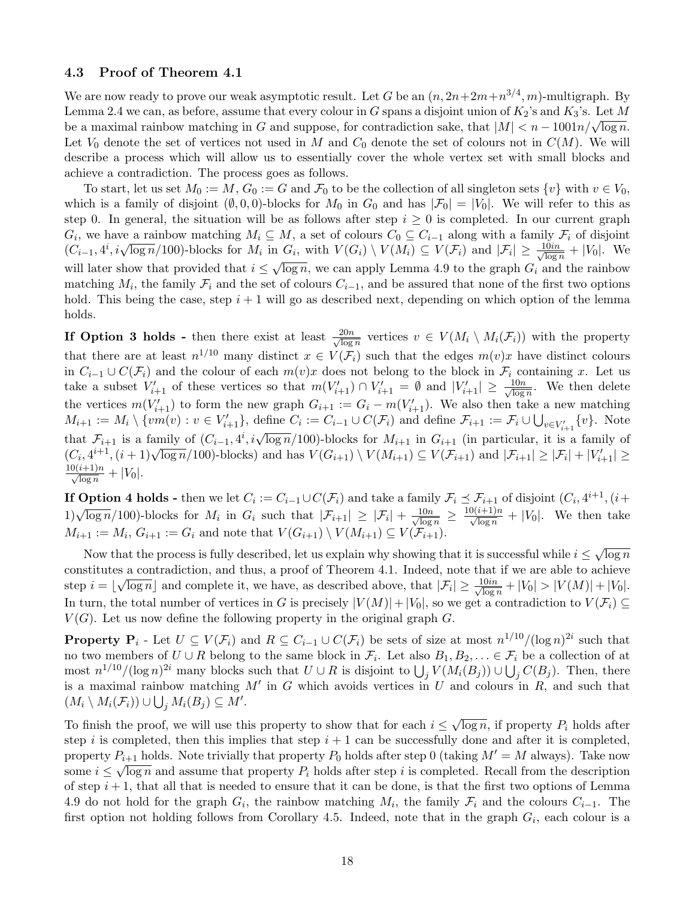#### <span id="page-17-0"></span>4.3 Proof of Theorem [4.1](#page-11-1)

We are now ready to prove our weak asymptotic result. Let G be an  $(n, 2n+2m+n^{3/4}, m)$ -multigraph. By Lemma [2.4](#page-6-0) we can, as before, assume that every colour in G spans a disjoint union of  $K_2$ 's and  $K_3$ 's. Let M be a maximal rainbow matching in G and suppose, for contradiction sake, that  $|M| < n - 1001n/\sqrt{\log n}$ . Let  $V_0$  denote the set of vertices not used in M and  $C_0$  denote the set of colours not in  $C(M)$ . We will describe a process which will allow us to essentially cover the whole vertex set with small blocks and achieve a contradiction. The process goes as follows.

To start, let us set  $M_0 := M$ ,  $G_0 := G$  and  $\mathcal{F}_0$  to be the collection of all singleton sets  $\{v\}$  with  $v \in V_0$ , which is a family of disjoint  $(\emptyset, 0, 0)$ -blocks for  $M_0$  in  $G_0$  and has  $|\mathcal{F}_0| = |V_0|$ . We will refer to this as step 0. In general, the situation will be as follows after step  $i \geq 0$  is completed. In our current graph  $G_i$ , we have a rainbow matching  $M_i \subseteq M$ , a set of colours  $C_0 \subseteq C_{i-1}$  along with a family  $\mathcal{F}_i$  of disjoint  $(G_i)$ , we have a rambow matching  $M_i \subseteq M$ , a set of colours  $C_0 \subseteq C_{i-1}$  along with a rambove  $(C_{i-1}, 4^i, i\sqrt{\log n}/100)$ -blocks for  $M_i$  in  $G_i$ , with  $V(G_i) \setminus V(M_i) \subseteq V(\mathcal{F}_i)$  and  $|\mathcal{F}_i| \geq \frac{10in}{\sqrt{\log n}}$  $\lim_{i \to \infty} G_i$ , with  $V(G_i) \setminus V(M_i) \subseteq V(\mathcal{F}_i)$  and  $|\mathcal{F}_i| \geq \frac{10m}{\sqrt{\log n}} + |V_0|$ . We will later show that provided that  $i \leq \sqrt{\log n}$ , we can apply Lemma [4.9](#page-15-0) to the graph  $G_i$  and the rainbow matching  $M_i$ , the family  $\mathcal{F}_i$  and the set of colours  $C_{i-1}$ , and be assured that none of the first two options hold. This being the case, step  $i + 1$  will go as described next, depending on which option of the lemma holds.

If Option 3 holds - then there exist at least  $\frac{20n}{\sqrt{\log n}}$  $\frac{20n}{\log n}$  vertices  $v \in V(M_i \setminus M_i(\mathcal{F}_i))$  with the property that there are at least  $n^{1/10}$  many distinct  $x \in V(\mathcal{F}_i)$  such that the edges  $m(v)x$  have distinct colours in  $C_{i-1} \cup C(\mathcal{F}_i)$  and the colour of each  $m(v)x$  does not belong to the block in  $\mathcal{F}_i$  containing x. Let us take a subset  $V'_{i+1}$  of these vertices so that  $m(V'_{i+1}) \cap V'_{i+1} = \emptyset$  and  $|V'_{i+1}| \geq \frac{10n}{\sqrt{\log n}}$  $\frac{10n}{\log n}$ . We then delete the vertices  $m(V'_{i+1})$  to form the new graph  $G_{i+1} := G_i - m(V'_{i+1})$ . We also then take a new matching  $M_{i+1} := M_i \setminus \{vm(v) : v \in V'_{i+1}\},\$ define  $C_i := C_{i-1} \cup C(\mathcal{F}_i)$  and define  $\mathcal{F}_{i+1} := \mathcal{F}_i \cup \bigcup_{v \in V'_{i+1}} \{v\}.$  Note that  $\mathcal{F}_{i+1}$  is a family of  $(C_{i-1}, 4^i, i\sqrt{\log n}/100)$ -blocks for  $M_{i+1}$  in  $G_{i+1}$  (in particular, it is a family of that  $\mathcal{F}_{i+1}$  is a rannity of  $(\mathcal{C}_{i-1}, 4, i \sqrt{\log n}/100)$ -blocks for  $M_{i+1}$  in  $G_{i+1}$  (in particular, it is a rannity of  $(C_i, 4^{i+1}, (i+1)\sqrt{\log n}/100)$ -blocks) and has  $V(G_{i+1}) \setminus V(M_{i+1}) \subseteq V(\mathcal{F}_{i+1})$  and  $|\mathcal{F}_{i+1}| \ge$  $\frac{10(i+1)n}{\sqrt{\log n}} + |V_0|.$ 

**If Option 4 holds** - then we let  $C_i := C_{i-1} \cup C(\mathcal{F}_i)$  and take a family  $\mathcal{F}_i \preceq \mathcal{F}_{i+1}$  of disjoint  $(C_i, 4^{i+1}, (i+1))$ 1)  $\sqrt{\log n}/100$ -blocks for  $M_i$  in  $G_i$  such that  $|\mathcal{F}_{i+1}| \geq |\mathcal{F}_i| + \frac{10n}{\sqrt{\log n}}$  $\frac{10n}{\log n} \geq \frac{10(i+1)n}{\sqrt{\log n}} + |V_0|$ . We then take  $M_{i+1} := M_i, G_{i+1} := G_i$  and note that  $V(G_{i+1}) \setminus V(M_{i+1}) \subseteq V(\mathcal{F}_{i+1}).$ 

Now that the process is fully described, let us explain why showing that it is successful while  $i \leq \sqrt{\log n}$ √ constitutes a contradiction, and thus, a proof of Theorem [4.1.](#page-11-1) Indeed, note that if we are able to achieve step  $i = \lfloor \sqrt{\log n} \rfloor$  and complete it, we have, as described above, that  $|\mathcal{F}_i| \geq \frac{10in}{\sqrt{\log n}}$  $\frac{.0in}{\log n} + |V_0| > |V(M)| + |V_0|.$ In turn, the total number of vertices in G is precisely  $|V(M)|+|V_0|$ , so we get a contradiction to  $V(\mathcal{F}_i) \subseteq$  $V(G)$ . Let us now define the following property in the original graph G.

**Property P**<sub>i</sub> - Let  $U \subseteq V(\mathcal{F}_i)$  and  $R \subseteq C_{i-1} \cup C(\mathcal{F}_i)$  be sets of size at most  $n^{1/10}/(\log n)^{2i}$  such that no two members of  $U \cup R$  belong to the same block in  $\mathcal{F}_i$ . Let also  $B_1, B_2, \ldots \in \mathcal{F}_i$  be a collection of at most  $n^{1/10}/(\log n)^{2i}$  many blocks such that  $U \cup R$  is disjoint to  $\bigcup_j V(M_i(B_j)) \cup \bigcup_j C(B_j)$ . Then, there is a maximal rainbow matching M' in G which avoids vertices in U and colours in R, and such that  $(M_i \setminus M_i(\mathcal{F}_i)) \cup \bigcup_j M_i(B_j) \subseteq M'.$ 

To finish the proof, we will use this property to show that for each  $i \leq$ √  $\overline{\log n}$ , if property  $P_i$  holds after step i is completed, then this implies that step  $i + 1$  can be successfully done and after it is completed, property  $P_{i+1}$  holds. Note trivially that property  $P_0$  holds after step 0 (taking  $M' = M$  always). Take now some  $i \leq \sqrt{\log n}$  and assume that property  $P_i$  holds after step i is completed. Recall from the description of step  $i + 1$ , that all that is needed to ensure that it can be done, is that the first two options of Lemma [4.9](#page-15-0) do not hold for the graph  $G_i$ , the rainbow matching  $M_i$ , the family  $\mathcal{F}_i$  and the colours  $C_{i-1}$ . The first option not holding follows from Corollary [4.5.](#page-13-0) Indeed, note that in the graph  $G_i$ , each colour is a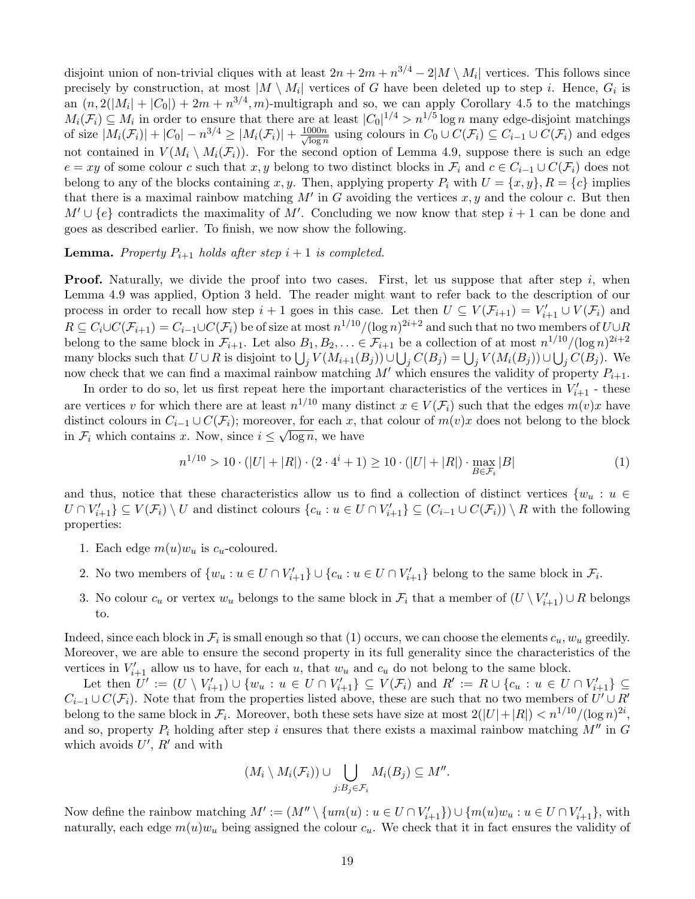disjoint union of non-trivial cliques with at least  $2n + 2m + n^{3/4} - 2|M \setminus M_i|$  vertices. This follows since precisely by construction, at most  $|M \setminus M_i|$  vertices of G have been deleted up to step i. Hence,  $G_i$  is an  $(n, 2(|M_i| + |C_0|) + 2m + n^{3/4}, m)$ -multigraph and so, we can apply Corollary [4.5](#page-13-0) to the matchings  $M_i(\mathcal{F}_i) \subseteq M_i$  in order to ensure that there are at least  $|C_0|^{1/4} > n^{1/5} \log n$  many edge-disjoint matchings of size  $|M_i(\mathcal{F}_i)| + |C_0| - n^{3/4} \ge |M_i(\mathcal{F}_i)| + \frac{1000n}{\sqrt{\log n}}$  $\frac{\partial 00n}{\partial \log n}$  using colours in  $C_0 \cup C(\mathcal{F}_i) \subseteq C_{i-1} \cup C(\mathcal{F}_i)$  and edges not contained in  $V(M_i \setminus M_i(\mathcal{F}_i))$ . For the second option of Lemma [4.9,](#page-15-0) suppose there is such an edge  $e = xy$  of some colour c such that x, y belong to two distinct blocks in  $\mathcal{F}_i$  and  $c \in C_{i-1} \cup C(\mathcal{F}_i)$  does not belong to any of the blocks containing x, y. Then, applying property  $P_i$  with  $U = \{x, y\}$ ,  $R = \{c\}$  implies that there is a maximal rainbow matching  $M'$  in G avoiding the vertices  $x, y$  and the colour c. But then  $M' \cup \{e\}$  contradicts the maximality of M'. Concluding we now know that step  $i + 1$  can be done and goes as described earlier. To finish, we now show the following.

#### **Lemma.** Property  $P_{i+1}$  holds after step  $i+1$  is completed.

**Proof.** Naturally, we divide the proof into two cases. First, let us suppose that after step  $i$ , when Lemma [4.9](#page-15-0) was applied, Option 3 held. The reader might want to refer back to the description of our process in order to recall how step  $i+1$  goes in this case. Let then  $U \subseteq V(\mathcal{F}_{i+1}) = V'_{i+1} \cup V(\mathcal{F}_i)$  and  $R\subseteq C_i\cup C(\mathcal{F}_{i+1})=C_{i-1}\cup C(\mathcal{F}_i)$  be of size at most  $n^{1/10}/(\log n)^{2i+2}$  and such that no two members of  $U\cup R$ belong to the same block in  $\mathcal{F}_{i+1}$ . Let also  $B_1, B_2, \ldots \in \mathcal{F}_{i+1}$  be a collection of at most  $n^{1/10}/(\log n)^{2i+2}$ many blocks such that  $U \cup R$  is disjoint to  $\bigcup_j V(M_{i+1}(B_j)) \cup \bigcup_j C(B_j) = \bigcup_j V(M_i(B_j)) \cup \bigcup_j C(B_j)$ . We now check that we can find a maximal rainbow matching  $M'$  which ensures the validity of property  $P_{i+1}$ .

In order to do so, let us first repeat here the important characteristics of the vertices in  $V'_{i+1}$  - these are vertices v for which there are at least  $n^{1/10}$  many distinct  $x \in V(\mathcal{F}_i)$  such that the edges  $m(v)x$  have distinct colours in  $C_{i-1} \cup C(\mathcal{F}_i)$ ; moreover, for each x, that colour of  $m(v)x$  does not belong to the block in  $\mathcal{F}_i$  which contains x. Now, since  $i \leq \sqrt{\log n}$ , we have

<span id="page-18-0"></span>
$$
n^{1/10} > 10 \cdot (|U| + |R|) \cdot (2 \cdot 4^i + 1) \ge 10 \cdot (|U| + |R|) \cdot \max_{B \in \mathcal{F}_i} |B| \tag{1}
$$

and thus, notice that these characteristics allow us to find a collection of distinct vertices  $\{w_u : u \in$  $U \cap V'_{i+1} \subseteq V(\mathcal{F}_i) \setminus U$  and distinct colours  $\{c_u : u \in U \cap V'_{i+1}\} \subseteq (C_{i-1} \cup C(\mathcal{F}_i)) \setminus R$  with the following properties:

- 1. Each edge  $m(u)w_u$  is  $c_u$ -coloured.
- 2. No two members of  $\{w_u : u \in U \cap V'_{i+1}\} \cup \{c_u : u \in U \cap V'_{i+1}\}$  belong to the same block in  $\mathcal{F}_i$ .
- 3. No colour  $c_u$  or vertex  $w_u$  belongs to the same block in  $\mathcal{F}_i$  that a member of  $(U \setminus V'_{i+1}) \cup R$  belongs to.

Indeed, since each block in  $\mathcal{F}_i$  is small enough so that [\(1\)](#page-18-0) occurs, we can choose the elements  $c_u, w_u$  greedily. Moreover, we are able to ensure the second property in its full generality since the characteristics of the vertices in  $V'_{i+1}$  allow us to have, for each u, that  $w_u$  and  $c_u$  do not belong to the same block.

Let then  $U' := (U \setminus V'_{i+1}) \cup \{w_u : u \in U \cap V'_{i+1}\} \subseteq V(\mathcal{F}_i)$  and  $R' := R \cup \{c_u : u \in U \cap V'_{i+1}\} \subseteq$  $C_{i-1} \cup C(\mathcal{F}_i)$ . Note that from the properties listed above, these are such that no two members of  $U' \cup R'$ belong to the same block in  $\mathcal{F}_i$ . Moreover, both these sets have size at most  $2(|U|+|R|) < n^{1/10}/(\log n)^{2i}$ , and so, property  $P_i$  holding after step i ensures that there exists a maximal rainbow matching  $M''$  in G which avoids  $U'$ ,  $R'$  and with

$$
(M_i \setminus M_i(\mathcal{F}_i)) \cup \bigcup_{j:B_j \in \mathcal{F}_i} M_i(B_j) \subseteq M''.
$$

Now define the rainbow matching  $M' := (M'' \setminus \{um(u) : u \in U \cap V'_{i+1}\}) \cup \{m(u)w_u : u \in U \cap V'_{i+1}\},\$  with naturally, each edge  $m(u)w_u$  being assigned the colour  $c_u$ . We check that it in fact ensures the validity of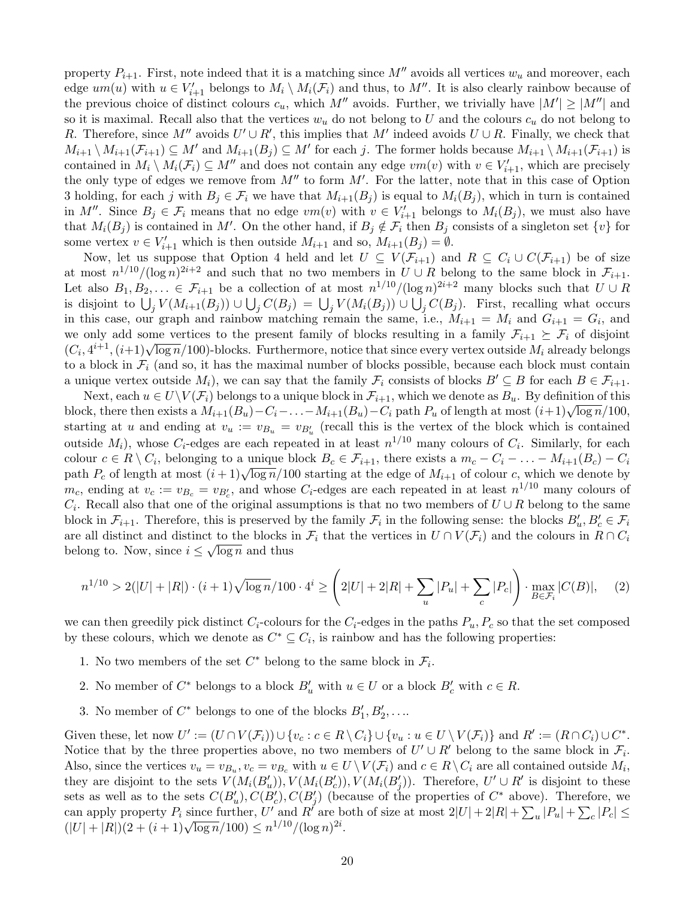property  $P_{i+1}$ . First, note indeed that it is a matching since M'' avoids all vertices  $w_u$  and moreover, each edge  $um(u)$  with  $u \in V'_{i+1}$  belongs to  $M_i \setminus M_i(\mathcal{F}_i)$  and thus, to  $M''$ . It is also clearly rainbow because of the previous choice of distinct colours  $c_u$ , which M'' avoids. Further, we trivially have  $|M'| \ge |M''|$  and so it is maximal. Recall also that the vertices  $w_u$  do not belong to U and the colours  $c_u$  do not belong to R. Therefore, since M'' avoids  $U' \cup R'$ , this implies that M' indeed avoids  $U \cup R$ . Finally, we check that  $M_{i+1} \setminus M_{i+1}(\mathcal{F}_{i+1}) \subseteq M'$  and  $M_{i+1}(B_j) \subseteq M'$  for each j. The former holds because  $M_{i+1} \setminus M_{i+1}(\mathcal{F}_{i+1})$  is contained in  $M_i \setminus M_i(\mathcal{F}_i) \subseteq M''$  and does not contain any edge  $vm(v)$  with  $v \in V'_{i+1}$ , which are precisely the only type of edges we remove from  $M''$  to form  $M'$ . For the latter, note that in this case of Option 3 holding, for each j with  $B_i \in \mathcal{F}_i$  we have that  $M_{i+1}(B_i)$  is equal to  $M_i(B_i)$ , which in turn is contained in M''. Since  $B_j \in \mathcal{F}_i$  means that no edge  $vm(v)$  with  $v \in V'_{i+1}$  belongs to  $M_i(B_j)$ , we must also have that  $M_i(B_j)$  is contained in M'. On the other hand, if  $B_j \notin \mathcal{F}_i$  then  $B_j$  consists of a singleton set  $\{v\}$  for some vertex  $v \in V'_{i+1}$  which is then outside  $M_{i+1}$  and so,  $M_{i+1}(B_j) = \emptyset$ .

Now, let us suppose that Option 4 held and let  $U \subseteq V(\mathcal{F}_{i+1})$  and  $R \subseteq C_i \cup C(\mathcal{F}_{i+1})$  be of size at most  $n^{1/10}/(\log n)^{2i+2}$  and such that no two members in  $U \cup R$  belong to the same block in  $\mathcal{F}_{i+1}$ . Let also  $B_1, B_2, \ldots \in \mathcal{F}_{i+1}$  be a collection of at most  $n^{1/10}/(\log n)^{2i+2}$  many blocks such that  $U \cup R$ is disjoint to  $\bigcup_j V(M_{i+1}(B_j)) \cup \bigcup_j C(B_j) = \bigcup_j V(M_i(B_j)) \cup \bigcup_j C(B_j)$ . First, recalling what occurs in this case, our graph and rainbow matching remain the same, i.e.,  $M_{i+1} = M_i$  and  $G_{i+1} = G_i$ , and we only add some vertices to the present family of blocks resulting in a family  $\mathcal{F}_{i+1} \succeq \mathcal{F}_i$  of disjoint we only add some vertices to the present lamily of blocks resulting in a family  $\mathcal{F}_{i+1} \subseteq \mathcal{F}_i$  of disjoint  $(C_i, 4^{i+1}, (i+1)\sqrt{\log n}/100)$ -blocks. Furthermore, notice that since every vertex outside  $M_i$  already belongs to a block in  $\mathcal{F}_i$  (and so, it has the maximal number of blocks possible, because each block must contain a unique vertex outside  $M_i$ , we can say that the family  $\mathcal{F}_i$  consists of blocks  $B' \subseteq B$  for each  $B \in \mathcal{F}_{i+1}$ .

Next, each  $u \in U\backslash V(\mathcal{F}_i)$  belongs to a unique block in  $\mathcal{F}_{i+1}$ , which we denote as  $B_u$ . By definition of this block, there then exists a  $M_{i+1}(B_u) - C_i - \ldots - M_{i+1}(B_u) - C_i$  path  $P_u$  of length at most  $(i+1)\sqrt{\log n}/100$ , starting at u and ending at  $v_u := v_{B_u} = v_{B_u'}$  (recall this is the vertex of the block which is contained outside  $M_i$ ), whose  $C_i$ -edges are each repeated in at least  $n^{1/10}$  many colours of  $C_i$ . Similarly, for each colour  $c \in R \setminus C_i$ , belonging to a unique block  $B_c \in \mathcal{F}_{i+1}$ , there exists a  $m_c - C_i - \ldots - M_{i+1}(B_c) - C_i$ path  $P_c$  of length at most  $(i+1)\sqrt{\log n}/100$  starting at the edge of  $M_{i+1}$  of colour c, which we denote by  $m_c$ , ending at  $v_c := v_{B_c} = v_{B_c}$ , and whose  $C_i$ -edges are each repeated in at least  $n^{1/10}$  many colours of  $C_i$ . Recall also that one of the original assumptions is that no two members of  $U \cup R$  belong to the same block in  $\mathcal{F}_{i+1}$ . Therefore, this is preserved by the family  $\mathcal{F}_i$  in the following sense: the blocks  $B'_u, B'_c \in \mathcal{F}_i$ are all distinct and distinct to the blocks in  $\mathcal{F}_i$  that the vertices in  $U \cap V(\mathcal{F}_i)$  and the colours in  $R \cap C_i$ belong to. Now, since  $i \leq \sqrt{\log n}$  and thus

$$
n^{1/10} > 2(|U| + |R|) \cdot (i+1)\sqrt{\log n}/100 \cdot 4^i \ge \left(2|U| + 2|R| + \sum_u |P_u| + \sum_c |P_c| \right) \cdot \max_{B \in \mathcal{F}_i} |C(B)|, \tag{2}
$$

we can then greedily pick distinct  $C_i$ -colours for the  $C_i$ -edges in the paths  $P_u, P_c$  so that the set composed by these colours, which we denote as  $C^* \subseteq C_i$ , is rainbow and has the following properties:

- 1. No two members of the set  $C^*$  belong to the same block in  $\mathcal{F}_i$ .
- 2. No member of  $C^*$  belongs to a block  $B'_u$  with  $u \in U$  or a block  $B'_c$  with  $c \in R$ .
- 3. No member of  $C^*$  belongs to one of the blocks  $B'_1, B'_2, \ldots$

Given these, let now  $U' := (U \cap V(\mathcal{F}_i)) \cup \{v_c : c \in R \setminus C_i\} \cup \{v_u : u \in U \setminus V(\mathcal{F}_i)\}$  and  $R' := (R \cap C_i) \cup C^*$ . Notice that by the three properties above, no two members of  $U' \cup R'$  belong to the same block in  $\mathcal{F}_i$ . Also, since the vertices  $v_u = v_{B_u}, v_c = v_{B_c}$  with  $u \in U \setminus V(\mathcal{F}_i)$  and  $c \in R \setminus C_i$  are all contained outside  $M_i$ , they are disjoint to the sets  $V(M_i(B'_u)), V(M_i(B'_c)), V(M_i(B'_j)).$  Therefore,  $U' \cup R'$  is disjoint to these sets as well as to the sets  $C(B'_u), C(B'_c), C(B'_j)$  (because of the properties of  $C^*$  above). Therefore, we can apply property  $P_i$  since further, U' and R' are both of size at most  $2|U| + 2|R| + \sum_u |P_u| + \sum_c |P_c| \le$ can apply property  $T_i$  since further,  $U$  and  $R$  are  $U$ <br> $(|U| + |R|)(2 + (i + 1)\sqrt{\log n}/100) \le n^{1/10}/(\log n)^{2i}$ .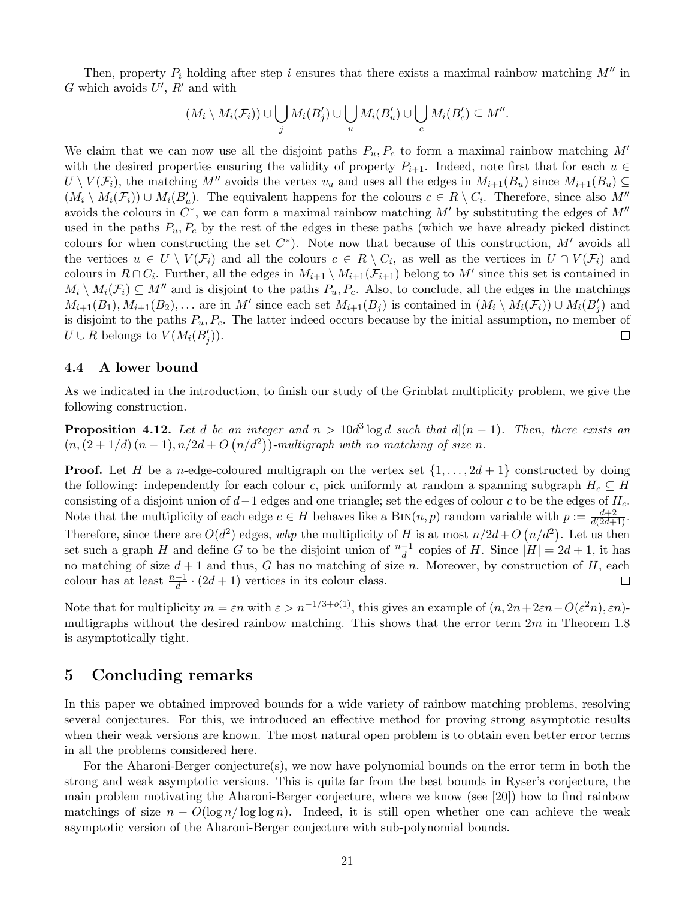Then, property  $P_i$  holding after step i ensures that there exists a maximal rainbow matching  $M''$  in G which avoids  $U', R'$  and with

$$
(M_i \setminus M_i(\mathcal{F}_i)) \cup \bigcup_j M_i(B'_j) \cup \bigcup_u M_i(B'_u) \cup \bigcup_c M_i(B'_c) \subseteq M''.
$$

We claim that we can now use all the disjoint paths  $P_u, P_c$  to form a maximal rainbow matching M' with the desired properties ensuring the validity of property  $P_{i+1}$ . Indeed, note first that for each  $u \in$  $U \setminus V(\mathcal{F}_i)$ , the matching M<sup>n</sup> avoids the vertex  $v_u$  and uses all the edges in  $M_{i+1}(B_u)$  since  $M_{i+1}(B_u) \subseteq$  $(M_i \setminus M_i(\mathcal{F}_i)) \cup M_i(B'_u)$ . The equivalent happens for the colours  $c \in R \setminus C_i$ . Therefore, since also M'' avoids the colours in  $C^*$ , we can form a maximal rainbow matching M' by substituting the edges of  $M''$ used in the paths  $P_u, P_c$  by the rest of the edges in these paths (which we have already picked distinct colours for when constructing the set  $C^*$ ). Note now that because of this construction, M' avoids all the vertices  $u \in U \setminus V(\mathcal{F}_i)$  and all the colours  $c \in R \setminus C_i$ , as well as the vertices in  $U \cap V(\mathcal{F}_i)$  and colours in  $R \cap C_i$ . Further, all the edges in  $M_{i+1} \setminus M_{i+1}(\mathcal{F}_{i+1})$  belong to M' since this set is contained in  $M_i \setminus M_i(\mathcal{F}_i) \subseteq M''$  and is disjoint to the paths  $P_u, P_c$ . Also, to conclude, all the edges in the matchings  $M_{i+1}(B_1), M_{i+1}(B_2), \ldots$  are in M' since each set  $M_{i+1}(B_j)$  is contained in  $(M_i \setminus M_i(\mathcal{F}_i)) \cup M_i(B'_j)$  and is disjoint to the paths  $P_u, P_c$ . The latter indeed occurs because by the initial assumption, no member of  $U \cup R$  belongs to  $V(M_i(B'_j))$ .  $\Box$ 

#### 4.4 A lower bound

As we indicated in the introduction, to finish our study of the Grinblat multiplicity problem, we give the following construction.

**Proposition 4.12.** Let d be an integer and  $n > 10d^3 \log d$  such that  $d|(n-1)$ . Then, there exists an  $(n,(2+1/d) (n-1),n/2d+O(n/d^2))$ -multigraph with no matching of size n.

**Proof.** Let H be a n-edge-coloured multigraph on the vertex set  $\{1, \ldots, 2d+1\}$  constructed by doing the following: independently for each colour c, pick uniformly at random a spanning subgraph  $H_c \subseteq H$ consisting of a disjoint union of  $d-1$  edges and one triangle; set the edges of colour c to be the edges of  $H_c$ . Note that the multiplicity of each edge  $e \in H$  behaves like a  $\text{Bin}(n, p)$  random variable with  $p := \frac{d+2}{d(2d+1)}$ . Therefore, since there are  $O(d^2)$  edges, whp the multiplicity of H is at most  $n/2d+O(n/d^2)$ . Let us then set such a graph H and define G to be the disjoint union of  $\frac{n-1}{d}$  copies of H. Since  $|H| = 2d + 1$ , it has no matching of size  $d+1$  and thus, G has no matching of size n. Moreover, by construction of H, each colour has at least  $\frac{n-1}{d} \cdot (2d+1)$  vertices in its colour class.  $\Box$ 

Note that for multiplicity  $m = \varepsilon n$  with  $\varepsilon > n^{-1/3 + o(1)}$ , this gives an example of  $(n, 2n + 2\varepsilon n - O(\varepsilon^2 n), \varepsilon n)$ multigraphs without the desired rainbow matching. This shows that the error term  $2m$  in Theorem [1.8](#page-4-0) is asymptotically tight.

# 5 Concluding remarks

In this paper we obtained improved bounds for a wide variety of rainbow matching problems, resolving several conjectures. For this, we introduced an effective method for proving strong asymptotic results when their weak versions are known. The most natural open problem is to obtain even better error terms in all the problems considered here.

For the Aharoni-Berger conjecture(s), we now have polynomial bounds on the error term in both the strong and weak asymptotic versions. This is quite far from the best bounds in Ryser's conjecture, the main problem motivating the Aharoni-Berger conjecture, where we know (see [\[20\]](#page-22-2)) how to find rainbow matchings of size  $n - O(\log n / \log \log n)$ . Indeed, it is still open whether one can achieve the weak asymptotic version of the Aharoni-Berger conjecture with sub-polynomial bounds.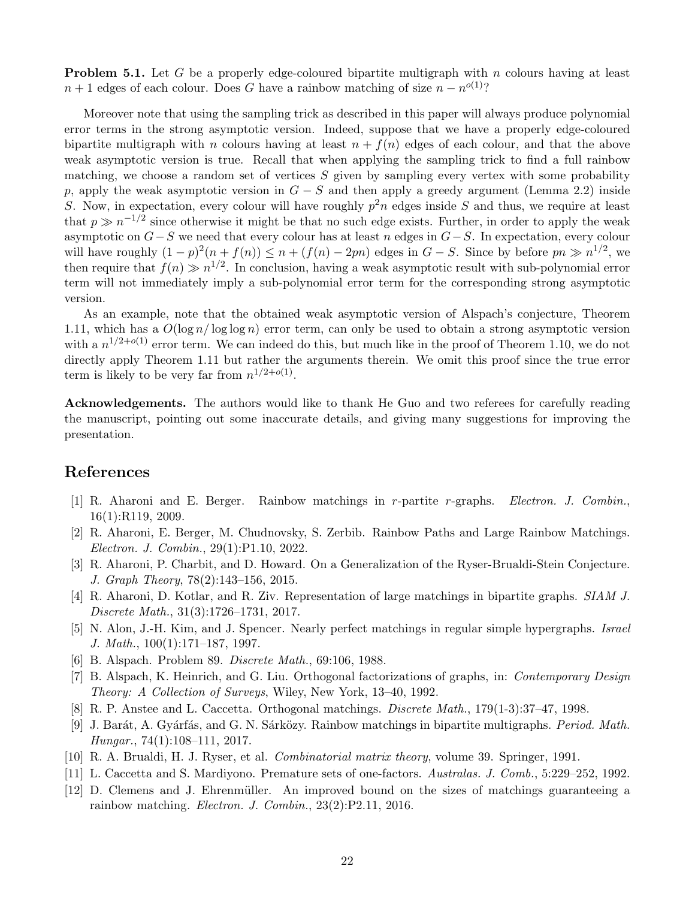**Problem 5.1.** Let G be a properly edge-coloured bipartite multigraph with n colours having at least  $n+1$  edges of each colour. Does G have a rainbow matching of size  $n - n^{o(1)}$ ?

Moreover note that using the sampling trick as described in this paper will always produce polynomial error terms in the strong asymptotic version. Indeed, suppose that we have a properly edge-coloured bipartite multigraph with n colours having at least  $n + f(n)$  edges of each colour, and that the above weak asymptotic version is true. Recall that when applying the sampling trick to find a full rainbow matching, we choose a random set of vertices  $S$  given by sampling every vertex with some probability p, apply the weak asymptotic version in  $G-S$  and then apply a greedy argument (Lemma [2.2\)](#page-5-0) inside S. Now, in expectation, every colour will have roughly  $p^2n$  edges inside S and thus, we require at least that  $p \gg n^{-1/2}$  since otherwise it might be that no such edge exists. Further, in order to apply the weak asymptotic on  $G-S$  we need that every colour has at least n edges in  $G-S$ . In expectation, every colour will have roughly  $(1-p)^2(n+f(n)) \leq n+(f(n)-2pn)$  edges in  $G-S$ . Since by before  $pn \gg n^{1/2}$ , we then require that  $f(n) \gg n^{1/2}$ . In conclusion, having a weak asymptotic result with sub-polynomial error term will not immediately imply a sub-polynomial error term for the corresponding strong asymptotic version.

As an example, note that the obtained weak asymptotic version of Alspach's conjecture, Theorem [1.11,](#page-5-4) which has a  $O(\log n/\log \log n)$  error term, can only be used to obtain a strong asymptotic version with a  $n^{1/2+o(1)}$  error term. We can indeed do this, but much like in the proof of Theorem [1.10,](#page-5-2) we do not directly apply Theorem [1.11](#page-5-4) but rather the arguments therein. We omit this proof since the true error term is likely to be very far from  $n^{1/2+o(1)}$ .

Acknowledgements. The authors would like to thank He Guo and two referees for carefully reading the manuscript, pointing out some inaccurate details, and giving many suggestions for improving the presentation.

# References

- <span id="page-21-1"></span>[1] R. Aharoni and E. Berger. Rainbow matchings in r-partite r-graphs. Electron. J. Combin., 16(1):R119, 2009.
- <span id="page-21-5"></span>[2] R. Aharoni, E. Berger, M. Chudnovsky, S. Zerbib. Rainbow Paths and Large Rainbow Matchings. Electron. J. Combin., 29(1):P1.10, 2022.
- <span id="page-21-2"></span>[3] R. Aharoni, P. Charbit, and D. Howard. On a Generalization of the Ryser-Brualdi-Stein Conjecture. J. Graph Theory, 78(2):143–156, 2015.
- <span id="page-21-4"></span>[4] R. Aharoni, D. Kotlar, and R. Ziv. Representation of large matchings in bipartite graphs. SIAM J. Discrete Math., 31(3):1726–1731, 2017.
- <span id="page-21-11"></span>[5] N. Alon, J.-H. Kim, and J. Spencer. Nearly perfect matchings in regular simple hypergraphs. Israel J. Math., 100(1):171–187, 1997.
- <span id="page-21-6"></span>[6] B. Alspach. Problem 89. Discrete Math., 69:106, 1988.
- <span id="page-21-9"></span>[7] B. Alspach, K. Heinrich, and G. Liu. Orthogonal factorizations of graphs, in: Contemporary Design Theory: A Collection of Surveys, Wiley, New York, 13–40, 1992.
- <span id="page-21-8"></span>[8] R. P. Anstee and L. Caccetta. Orthogonal matchings. Discrete Math., 179(1-3):37–47, 1998.
- <span id="page-21-10"></span>[9] J. Barát, A. Gyárfás, and G. N. Sárközy. Rainbow matchings in bipartite multigraphs. *Period. Math.* Hungar., 74(1):108–111, 2017.
- <span id="page-21-0"></span>[10] R. A. Brualdi, H. J. Ryser, et al. Combinatorial matrix theory, volume 39. Springer, 1991.
- <span id="page-21-7"></span>[11] L. Caccetta and S. Mardiyono. Premature sets of one-factors. Australas. J. Comb., 5:229–252, 1992.
- <span id="page-21-3"></span>[12] D. Clemens and J. Ehrenmüller. An improved bound on the sizes of matchings guaranteeing a rainbow matching. Electron. J. Combin., 23(2):P2.11, 2016.